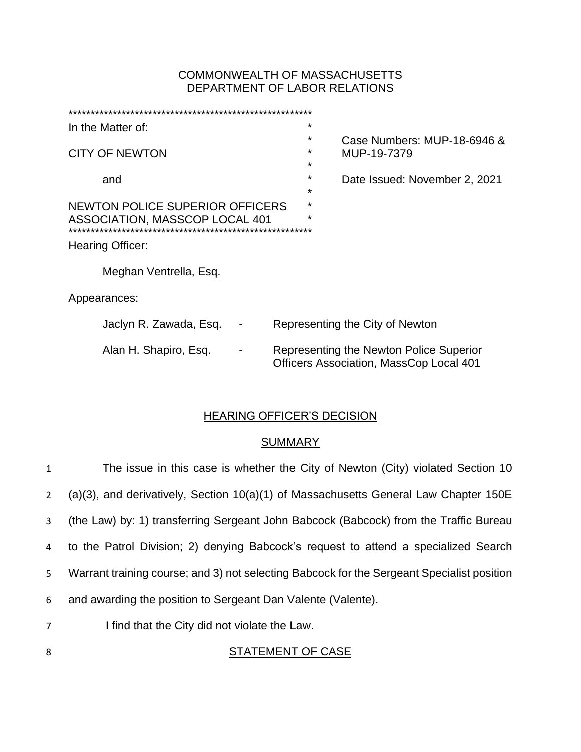# COMMONWEALTH OF MASSACHUSETTS DEPARTMENT OF LABOR RELATIONS

| In the Matter of:               |                             |  |  | $\star$            |                                                                                           |  |
|---------------------------------|-----------------------------|--|--|--------------------|-------------------------------------------------------------------------------------------|--|
|                                 |                             |  |  | *                  | Case Numbers: MUP-18-6946 &                                                               |  |
| <b>CITY OF NEWTON</b>           |                             |  |  | $\star$            | MUP-19-7379                                                                               |  |
|                                 |                             |  |  | $\star$<br>$\star$ |                                                                                           |  |
|                                 | and                         |  |  | $\star$            | Date Issued: November 2, 2021                                                             |  |
| NEWTON POLICE SUPERIOR OFFICERS |                             |  |  | $\star$            |                                                                                           |  |
| ASSOCIATION, MASSCOP LOCAL 401  |                             |  |  | $\star$            |                                                                                           |  |
|                                 | *************************** |  |  |                    |                                                                                           |  |
|                                 | <b>Hearing Officer:</b>     |  |  |                    |                                                                                           |  |
|                                 | Meghan Ventrella, Esq.      |  |  |                    |                                                                                           |  |
|                                 |                             |  |  |                    |                                                                                           |  |
| Appearances:                    |                             |  |  |                    |                                                                                           |  |
|                                 | Jaclyn R. Zawada, Esq.      |  |  |                    | Representing the City of Newton                                                           |  |
|                                 | Alan H. Shapiro, Esq.       |  |  |                    | Representing the Newton Police Superior<br><b>Officers Association, MassCop Local 401</b> |  |
|                                 |                             |  |  |                    |                                                                                           |  |

# HEARING OFFICER'S DECISION

# **SUMMARY**

| $\mathbf{1}$   | The issue in this case is whether the City of Newton (City) violated Section 10            |
|----------------|--------------------------------------------------------------------------------------------|
| $2^{\circ}$    | $(a)(3)$ , and derivatively, Section 10 $(a)(1)$ of Massachusetts General Law Chapter 150E |
| 3              | (the Law) by: 1) transferring Sergeant John Babcock (Babcock) from the Traffic Bureau      |
| 4              | to the Patrol Division; 2) denying Babcock's request to attend a specialized Search        |
| 5 <sup>1</sup> | Warrant training course; and 3) not selecting Babcock for the Sergeant Specialist position |
| 6              | and awarding the position to Sergeant Dan Valente (Valente).                               |
| $\overline{7}$ | I find that the City did not violate the Law.                                              |
| 8              | STATEMENT OF CASE                                                                          |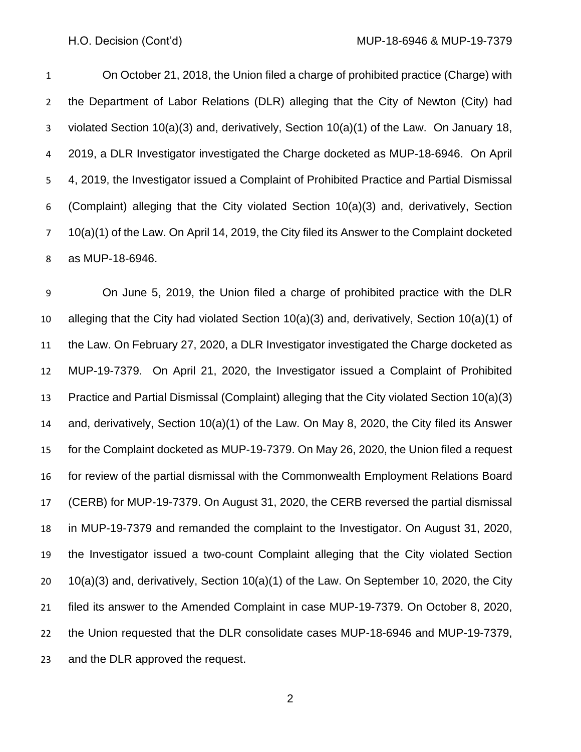On October 21, 2018, the Union filed a charge of prohibited practice (Charge) with the Department of Labor Relations (DLR) alleging that the City of Newton (City) had violated Section 10(a)(3) and, derivatively, Section 10(a)(1) of the Law. On January 18, 2019, a DLR Investigator investigated the Charge docketed as MUP-18-6946. On April 4, 2019, the Investigator issued a Complaint of Prohibited Practice and Partial Dismissal (Complaint) alleging that the City violated Section 10(a)(3) and, derivatively, Section 10(a)(1) of the Law. On April 14, 2019, the City filed its Answer to the Complaint docketed as MUP-18-6946.

 On June 5, 2019, the Union filed a charge of prohibited practice with the DLR alleging that the City had violated Section 10(a)(3) and, derivatively, Section 10(a)(1) of the Law. On February 27, 2020, a DLR Investigator investigated the Charge docketed as MUP-19-7379. On April 21, 2020, the Investigator issued a Complaint of Prohibited Practice and Partial Dismissal (Complaint) alleging that the City violated Section 10(a)(3) and, derivatively, Section 10(a)(1) of the Law. On May 8, 2020, the City filed its Answer for the Complaint docketed as MUP-19-7379. On May 26, 2020, the Union filed a request for review of the partial dismissal with the Commonwealth Employment Relations Board (CERB) for MUP-19-7379. On August 31, 2020, the CERB reversed the partial dismissal in MUP-19-7379 and remanded the complaint to the Investigator. On August 31, 2020, the Investigator issued a two-count Complaint alleging that the City violated Section 10(a)(3) and, derivatively, Section 10(a)(1) of the Law. On September 10, 2020, the City filed its answer to the Amended Complaint in case MUP-19-7379. On October 8, 2020, the Union requested that the DLR consolidate cases MUP-18-6946 and MUP-19-7379, and the DLR approved the request.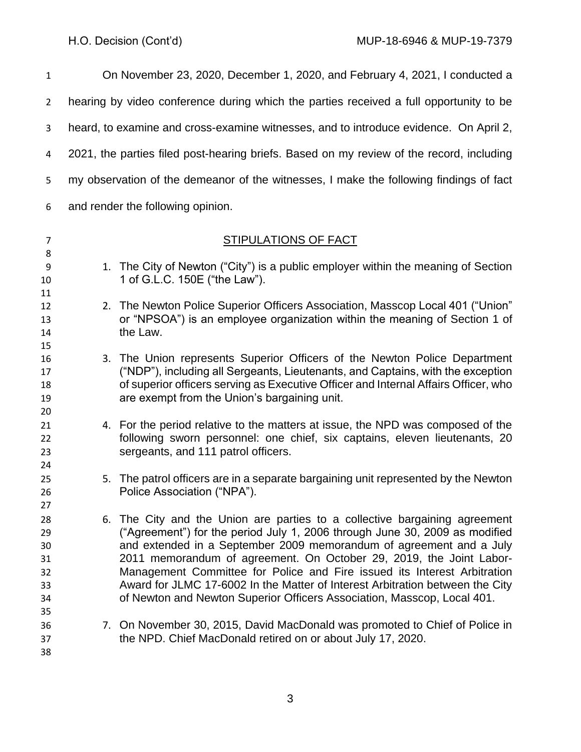| $\mathbf{1}$                                 |                                                                                          | On November 23, 2020, December 1, 2020, and February 4, 2021, I conducted a                                                                                                                                                                                                                                                                                                                                                                                                                                                                     |  |  |  |
|----------------------------------------------|------------------------------------------------------------------------------------------|-------------------------------------------------------------------------------------------------------------------------------------------------------------------------------------------------------------------------------------------------------------------------------------------------------------------------------------------------------------------------------------------------------------------------------------------------------------------------------------------------------------------------------------------------|--|--|--|
| $\overline{2}$                               |                                                                                          | hearing by video conference during which the parties received a full opportunity to be                                                                                                                                                                                                                                                                                                                                                                                                                                                          |  |  |  |
| 3                                            | heard, to examine and cross-examine witnesses, and to introduce evidence. On April 2,    |                                                                                                                                                                                                                                                                                                                                                                                                                                                                                                                                                 |  |  |  |
| 4                                            | 2021, the parties filed post-hearing briefs. Based on my review of the record, including |                                                                                                                                                                                                                                                                                                                                                                                                                                                                                                                                                 |  |  |  |
| 5                                            | my observation of the demeanor of the witnesses, I make the following findings of fact   |                                                                                                                                                                                                                                                                                                                                                                                                                                                                                                                                                 |  |  |  |
| 6                                            | and render the following opinion.                                                        |                                                                                                                                                                                                                                                                                                                                                                                                                                                                                                                                                 |  |  |  |
| 7                                            |                                                                                          | <b>STIPULATIONS OF FACT</b>                                                                                                                                                                                                                                                                                                                                                                                                                                                                                                                     |  |  |  |
| 8<br>9<br>10                                 |                                                                                          | 1. The City of Newton ("City") is a public employer within the meaning of Section<br>1 of G.L.C. 150E ("the Law").                                                                                                                                                                                                                                                                                                                                                                                                                              |  |  |  |
| 11<br>12<br>13<br>14                         |                                                                                          | 2. The Newton Police Superior Officers Association, Masscop Local 401 ("Union"<br>or "NPSOA") is an employee organization within the meaning of Section 1 of<br>the Law.                                                                                                                                                                                                                                                                                                                                                                        |  |  |  |
| 15<br>16<br>17<br>18<br>19<br>20             |                                                                                          | 3. The Union represents Superior Officers of the Newton Police Department<br>("NDP"), including all Sergeants, Lieutenants, and Captains, with the exception<br>of superior officers serving as Executive Officer and Internal Affairs Officer, who<br>are exempt from the Union's bargaining unit.                                                                                                                                                                                                                                             |  |  |  |
| 21<br>22<br>23<br>24                         |                                                                                          | 4. For the period relative to the matters at issue, the NPD was composed of the<br>following sworn personnel: one chief, six captains, eleven lieutenants, 20<br>sergeants, and 111 patrol officers.                                                                                                                                                                                                                                                                                                                                            |  |  |  |
| 25<br>26<br>27                               |                                                                                          | 5. The patrol officers are in a separate bargaining unit represented by the Newton<br>Police Association ("NPA").                                                                                                                                                                                                                                                                                                                                                                                                                               |  |  |  |
| 28<br>29<br>30<br>31<br>32<br>33<br>34<br>35 |                                                                                          | 6. The City and the Union are parties to a collective bargaining agreement<br>("Agreement") for the period July 1, 2006 through June 30, 2009 as modified<br>and extended in a September 2009 memorandum of agreement and a July<br>2011 memorandum of agreement. On October 29, 2019, the Joint Labor-<br>Management Committee for Police and Fire issued its Interest Arbitration<br>Award for JLMC 17-6002 In the Matter of Interest Arbitration between the City<br>of Newton and Newton Superior Officers Association, Masscop, Local 401. |  |  |  |
| 36<br>37<br>38                               |                                                                                          | 7. On November 30, 2015, David MacDonald was promoted to Chief of Police in<br>the NPD. Chief MacDonald retired on or about July 17, 2020.                                                                                                                                                                                                                                                                                                                                                                                                      |  |  |  |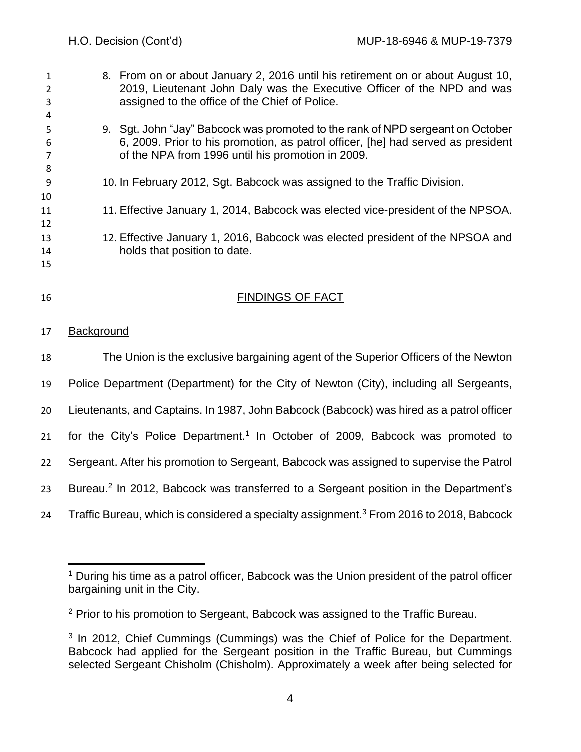| $\mathbf{1}$   | 8. From on or about January 2, 2016 until his retirement on or about August 10,  |
|----------------|----------------------------------------------------------------------------------|
| $\overline{2}$ | 2019, Lieutenant John Daly was the Executive Officer of the NPD and was          |
| 3              | assigned to the office of the Chief of Police.                                   |
| 4              |                                                                                  |
| 5              | 9. Sgt. John "Jay" Babcock was promoted to the rank of NPD sergeant on October   |
| 6              | 6, 2009. Prior to his promotion, as patrol officer, [he] had served as president |
|                | of the NPA from 1996 until his promotion in 2009.                                |
| 8              |                                                                                  |
| -9             | 10. In February 2012, Sgt. Babcock was assigned to the Traffic Division.         |
| 10             |                                                                                  |
| 11             | 11. Effective January 1, 2014, Babcock was elected vice-president of the NPSOA.  |
| 12             |                                                                                  |
| 13             | 12. Effective January 1, 2016, Babcock was elected president of the NPSOA and    |
| 14             | holds that position to date.                                                     |
| 15             |                                                                                  |
|                |                                                                                  |
| 16             | <b>FINDINGS OF FACT</b>                                                          |
|                |                                                                                  |

## Background

 The Union is the exclusive bargaining agent of the Superior Officers of the Newton Police Department (Department) for the City of Newton (City), including all Sergeants, Lieutenants, and Captains. In 1987, John Babcock (Babcock) was hired as a patrol officer 21 for the City's Police Department.<sup>1</sup> In October of 2009, Babcock was promoted to Sergeant. After his promotion to Sergeant, Babcock was assigned to supervise the Patrol 23 Bureau.<sup>2</sup> In 2012, Babcock was transferred to a Sergeant position in the Department's 24 Traffic Bureau, which is considered a specialty assignment.<sup>3</sup> From 2016 to 2018, Babcock

<sup>&</sup>lt;sup>1</sup> During his time as a patrol officer, Babcock was the Union president of the patrol officer bargaining unit in the City.

<sup>&</sup>lt;sup>2</sup> Prior to his promotion to Sergeant, Babcock was assigned to the Traffic Bureau.

<sup>&</sup>lt;sup>3</sup> In 2012, Chief Cummings (Cummings) was the Chief of Police for the Department. Babcock had applied for the Sergeant position in the Traffic Bureau, but Cummings selected Sergeant Chisholm (Chisholm). Approximately a week after being selected for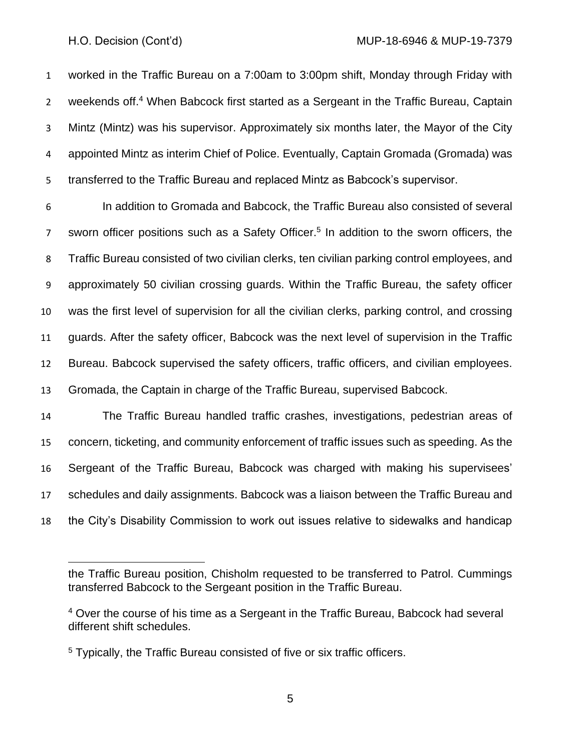worked in the Traffic Bureau on a 7:00am to 3:00pm shift, Monday through Friday with 2 weekends off.<sup>4</sup> When Babcock first started as a Sergeant in the Traffic Bureau, Captain Mintz (Mintz) was his supervisor. Approximately six months later, the Mayor of the City appointed Mintz as interim Chief of Police. Eventually, Captain Gromada (Gromada) was transferred to the Traffic Bureau and replaced Mintz as Babcock's supervisor.

 In addition to Gromada and Babcock, the Traffic Bureau also consisted of several 7 sworn officer positions such as a Safety Officer.<sup>5</sup> In addition to the sworn officers, the Traffic Bureau consisted of two civilian clerks, ten civilian parking control employees, and approximately 50 civilian crossing guards. Within the Traffic Bureau, the safety officer was the first level of supervision for all the civilian clerks, parking control, and crossing guards. After the safety officer, Babcock was the next level of supervision in the Traffic Bureau. Babcock supervised the safety officers, traffic officers, and civilian employees. Gromada, the Captain in charge of the Traffic Bureau, supervised Babcock.

The Traffic Bureau handled traffic crashes, investigations, pedestrian areas of

 concern, ticketing, and community enforcement of traffic issues such as speeding. As the Sergeant of the Traffic Bureau, Babcock was charged with making his supervisees' schedules and daily assignments. Babcock was a liaison between the Traffic Bureau and the City's Disability Commission to work out issues relative to sidewalks and handicap

the Traffic Bureau position, Chisholm requested to be transferred to Patrol. Cummings transferred Babcock to the Sergeant position in the Traffic Bureau.

 Over the course of his time as a Sergeant in the Traffic Bureau, Babcock had several different shift schedules.

<sup>&</sup>lt;sup>5</sup> Typically, the Traffic Bureau consisted of five or six traffic officers.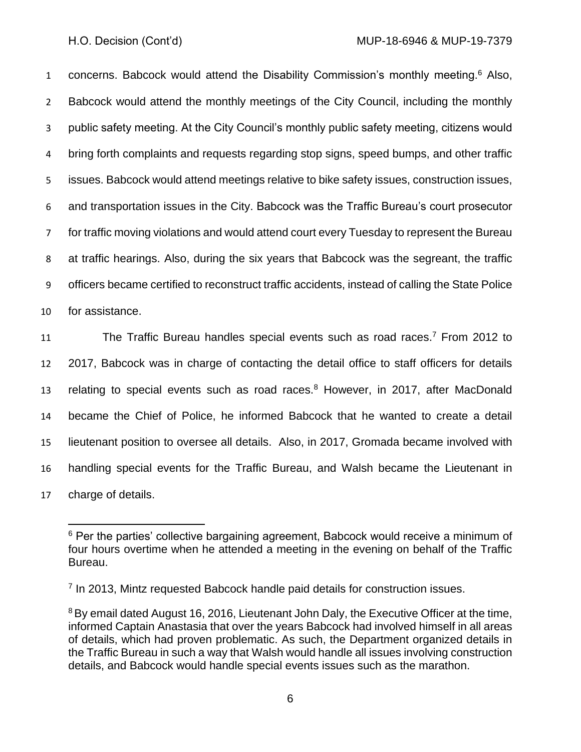1 concerns. Babcock would attend the Disability Commission's monthly meeting.<sup>6</sup> Also, Babcock would attend the monthly meetings of the City Council, including the monthly public safety meeting. At the City Council's monthly public safety meeting, citizens would bring forth complaints and requests regarding stop signs, speed bumps, and other traffic issues. Babcock would attend meetings relative to bike safety issues, construction issues, and transportation issues in the City. Babcock was the Traffic Bureau's court prosecutor for traffic moving violations and would attend court every Tuesday to represent the Bureau at traffic hearings. Also, during the six years that Babcock was the segreant, the traffic officers became certified to reconstruct traffic accidents, instead of calling the State Police for assistance.

11 The Traffic Bureau handles special events such as road races.<sup>7</sup> From 2012 to 2017, Babcock was in charge of contacting the detail office to staff officers for details 13 relating to special events such as road races. $8$  However, in 2017, after MacDonald became the Chief of Police, he informed Babcock that he wanted to create a detail lieutenant position to oversee all details. Also, in 2017, Gromada became involved with handling special events for the Traffic Bureau, and Walsh became the Lieutenant in charge of details.

<sup>&</sup>lt;sup>6</sup> Per the parties' collective bargaining agreement, Babcock would receive a minimum of four hours overtime when he attended a meeting in the evening on behalf of the Traffic Bureau.

<sup>&</sup>lt;sup>7</sup> In 2013, Mintz requested Babcock handle paid details for construction issues.

<sup>&</sup>lt;sup>8</sup>By email dated August 16, 2016, Lieutenant John Daly, the Executive Officer at the time, informed Captain Anastasia that over the years Babcock had involved himself in all areas of details, which had proven problematic. As such, the Department organized details in the Traffic Bureau in such a way that Walsh would handle all issues involving construction details, and Babcock would handle special events issues such as the marathon.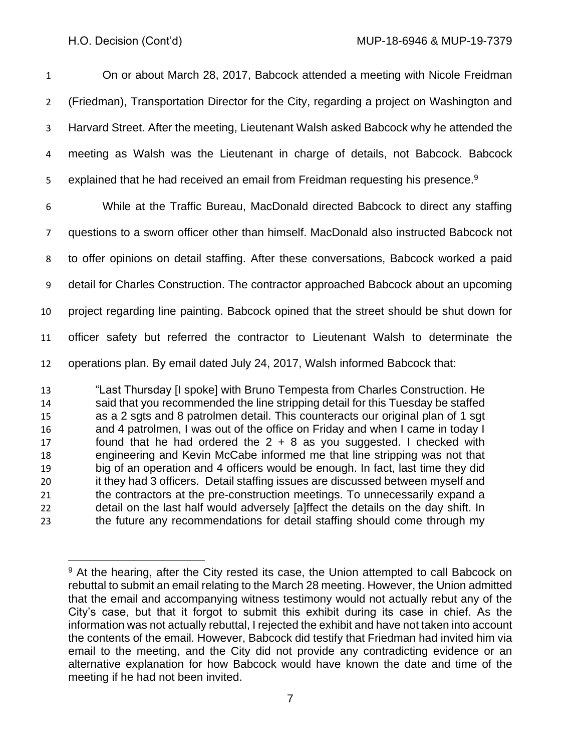On or about March 28, 2017, Babcock attended a meeting with Nicole Freidman (Friedman), Transportation Director for the City, regarding a project on Washington and Harvard Street. After the meeting, Lieutenant Walsh asked Babcock why he attended the meeting as Walsh was the Lieutenant in charge of details, not Babcock. Babcock 5 explained that he had received an email from Freidman requesting his presence.<sup>9</sup> While at the Traffic Bureau, MacDonald directed Babcock to direct any staffing questions to a sworn officer other than himself. MacDonald also instructed Babcock not to offer opinions on detail staffing. After these conversations, Babcock worked a paid detail for Charles Construction. The contractor approached Babcock about an upcoming project regarding line painting. Babcock opined that the street should be shut down for officer safety but referred the contractor to Lieutenant Walsh to determinate the

operations plan. By email dated July 24, 2017, Walsh informed Babcock that:

 "Last Thursday [I spoke] with Bruno Tempesta from Charles Construction. He said that you recommended the line stripping detail for this Tuesday be staffed as a 2 sgts and 8 patrolmen detail. This counteracts our original plan of 1 sgt and 4 patrolmen, I was out of the office on Friday and when I came in today I found that he had ordered the 2 + 8 as you suggested. I checked with engineering and Kevin McCabe informed me that line stripping was not that big of an operation and 4 officers would be enough. In fact, last time they did it they had 3 officers. Detail staffing issues are discussed between myself and the contractors at the pre-construction meetings. To unnecessarily expand a detail on the last half would adversely [a]ffect the details on the day shift. In the future any recommendations for detail staffing should come through my

<sup>&</sup>lt;sup>9</sup> At the hearing, after the City rested its case, the Union attempted to call Babcock on rebuttal to submit an email relating to the March 28 meeting. However, the Union admitted that the email and accompanying witness testimony would not actually rebut any of the City's case, but that it forgot to submit this exhibit during its case in chief. As the information was not actually rebuttal, I rejected the exhibit and have not taken into account the contents of the email. However, Babcock did testify that Friedman had invited him via email to the meeting, and the City did not provide any contradicting evidence or an alternative explanation for how Babcock would have known the date and time of the meeting if he had not been invited.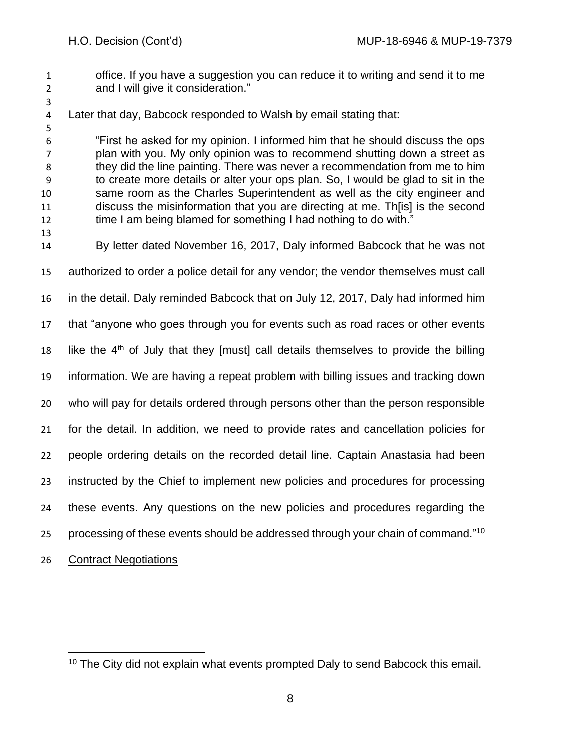- office. If you have a suggestion you can reduce it to writing and send it to me and I will give it consideration."
- 

Later that day, Babcock responded to Walsh by email stating that:

 "First he asked for my opinion. I informed him that he should discuss the ops plan with you. My only opinion was to recommend shutting down a street as they did the line painting. There was never a recommendation from me to him to create more details or alter your ops plan. So, I would be glad to sit in the same room as the Charles Superintendent as well as the city engineer and discuss the misinformation that you are directing at me. Th[is] is the second time I am being blamed for something I had nothing to do with."

- By letter dated November 16, 2017, Daly informed Babcock that he was not authorized to order a police detail for any vendor; the vendor themselves must call in the detail. Daly reminded Babcock that on July 12, 2017, Daly had informed him that "anyone who goes through you for events such as road races or other events 18 like the  $4<sup>th</sup>$  of July that they [must] call details themselves to provide the billing information. We are having a repeat problem with billing issues and tracking down who will pay for details ordered through persons other than the person responsible for the detail. In addition, we need to provide rates and cancellation policies for people ordering details on the recorded detail line. Captain Anastasia had been instructed by the Chief to implement new policies and procedures for processing these events. Any questions on the new policies and procedures regarding the 25 processing of these events should be addressed through your chain of command."<sup>10</sup>
- Contract Negotiations

The City did not explain what events prompted Daly to send Babcock this email.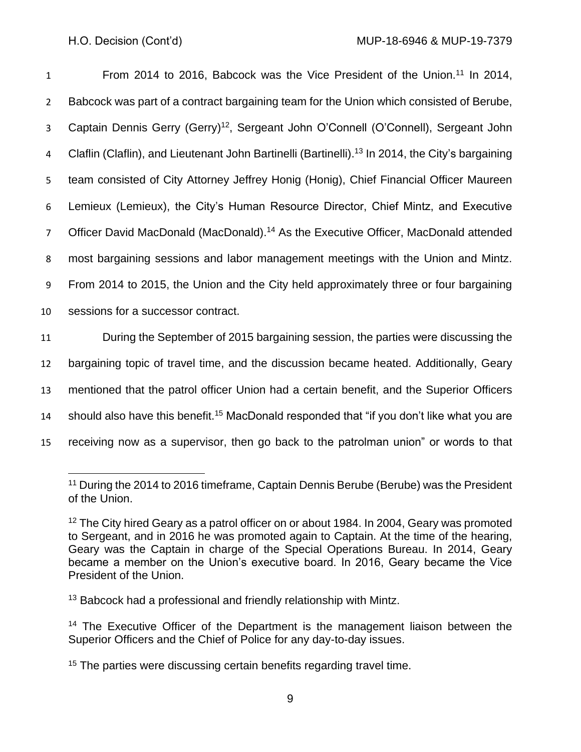1 From 2014 to 2016, Babcock was the Vice President of the Union.<sup>11</sup> In 2014, Babcock was part of a contract bargaining team for the Union which consisted of Berube, 3 Captain Dennis Gerry (Gerry)<sup>12</sup>, Sergeant John O'Connell (O'Connell), Sergeant John 4 Claflin (Claflin), and Lieutenant John Bartinelli (Bartinelli).<sup>13</sup> In 2014, the City's bargaining team consisted of City Attorney Jeffrey Honig (Honig), Chief Financial Officer Maureen Lemieux (Lemieux), the City's Human Resource Director, Chief Mintz, and Executive 7 Officer David MacDonald (MacDonald).<sup>14</sup> As the Executive Officer, MacDonald attended most bargaining sessions and labor management meetings with the Union and Mintz. From 2014 to 2015, the Union and the City held approximately three or four bargaining sessions for a successor contract. During the September of 2015 bargaining session, the parties were discussing the bargaining topic of travel time, and the discussion became heated. Additionally, Geary

13 mentioned that the patrol officer Union had a certain benefit, and the Superior Officers 14 should also have this benefit.<sup>15</sup> MacDonald responded that "if you don't like what you are

15 receiving now as a supervisor, then go back to the patrolman union" or words to that

 $13$  Babcock had a professional and friendly relationship with Mintz.

<sup>&</sup>lt;sup>11</sup> During the 2014 to 2016 timeframe, Captain Dennis Berube (Berube) was the President of the Union.

<sup>&</sup>lt;sup>12</sup> The City hired Geary as a patrol officer on or about 1984. In 2004, Geary was promoted to Sergeant, and in 2016 he was promoted again to Captain. At the time of the hearing, Geary was the Captain in charge of the Special Operations Bureau. In 2014, Geary became a member on the Union's executive board. In 2016, Geary became the Vice President of the Union.

<sup>&</sup>lt;sup>14</sup> The Executive Officer of the Department is the management liaison between the Superior Officers and the Chief of Police for any day-to-day issues.

<sup>&</sup>lt;sup>15</sup> The parties were discussing certain benefits regarding travel time.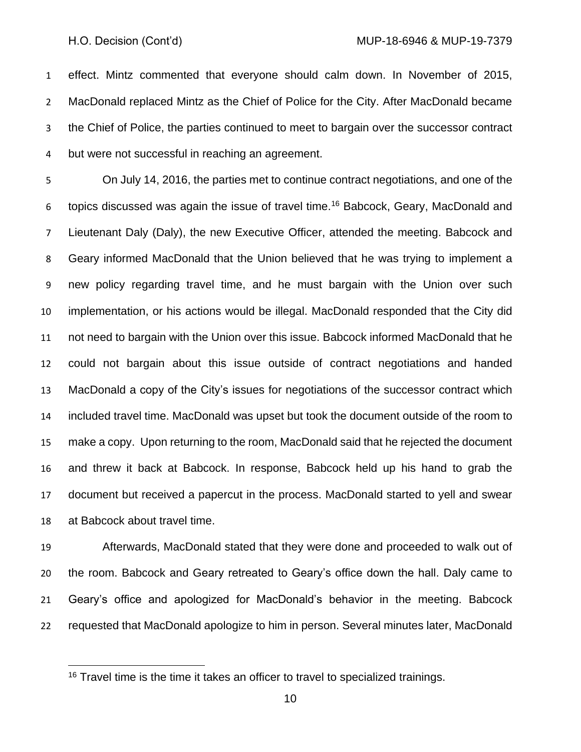effect. Mintz commented that everyone should calm down. In November of 2015, MacDonald replaced Mintz as the Chief of Police for the City. After MacDonald became the Chief of Police, the parties continued to meet to bargain over the successor contract but were not successful in reaching an agreement.

 On July 14, 2016, the parties met to continue contract negotiations, and one of the 6 topics discussed was again the issue of travel time.<sup>16</sup> Babcock, Geary, MacDonald and Lieutenant Daly (Daly), the new Executive Officer, attended the meeting. Babcock and Geary informed MacDonald that the Union believed that he was trying to implement a new policy regarding travel time, and he must bargain with the Union over such implementation, or his actions would be illegal. MacDonald responded that the City did not need to bargain with the Union over this issue. Babcock informed MacDonald that he could not bargain about this issue outside of contract negotiations and handed MacDonald a copy of the City's issues for negotiations of the successor contract which included travel time. MacDonald was upset but took the document outside of the room to make a copy. Upon returning to the room, MacDonald said that he rejected the document and threw it back at Babcock. In response, Babcock held up his hand to grab the document but received a papercut in the process. MacDonald started to yell and swear at Babcock about travel time.

 Afterwards, MacDonald stated that they were done and proceeded to walk out of the room. Babcock and Geary retreated to Geary's office down the hall. Daly came to Geary's office and apologized for MacDonald's behavior in the meeting. Babcock requested that MacDonald apologize to him in person. Several minutes later, MacDonald

<sup>&</sup>lt;sup>16</sup> Travel time is the time it takes an officer to travel to specialized trainings.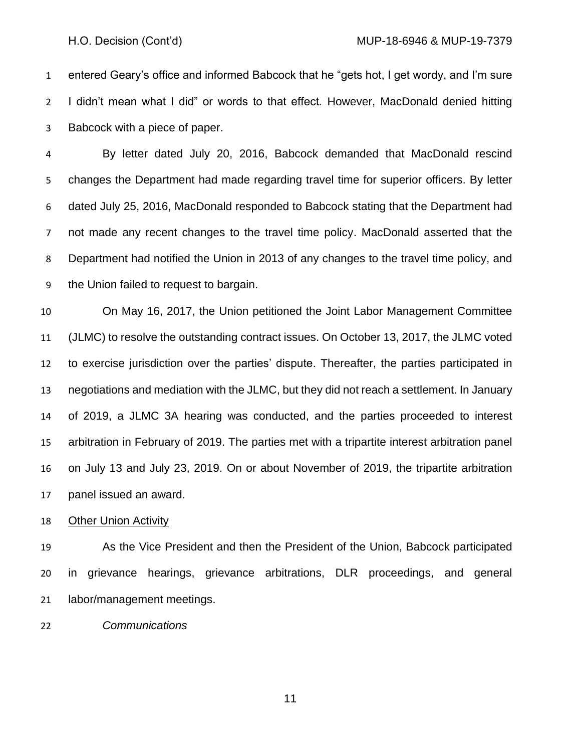entered Geary's office and informed Babcock that he "gets hot, I get wordy, and I'm sure I didn't mean what I did" or words to that effect*.* However, MacDonald denied hitting Babcock with a piece of paper.

 By letter dated July 20, 2016, Babcock demanded that MacDonald rescind changes the Department had made regarding travel time for superior officers. By letter dated July 25, 2016, MacDonald responded to Babcock stating that the Department had not made any recent changes to the travel time policy. MacDonald asserted that the Department had notified the Union in 2013 of any changes to the travel time policy, and the Union failed to request to bargain.

 On May 16, 2017, the Union petitioned the Joint Labor Management Committee (JLMC) to resolve the outstanding contract issues. On October 13, 2017, the JLMC voted to exercise jurisdiction over the parties' dispute. Thereafter, the parties participated in negotiations and mediation with the JLMC, but they did not reach a settlement. In January of 2019, a JLMC 3A hearing was conducted, and the parties proceeded to interest arbitration in February of 2019. The parties met with a tripartite interest arbitration panel on July 13 and July 23, 2019. On or about November of 2019, the tripartite arbitration panel issued an award.

Other Union Activity

 As the Vice President and then the President of the Union, Babcock participated in grievance hearings, grievance arbitrations, DLR proceedings, and general labor/management meetings.

*Communications*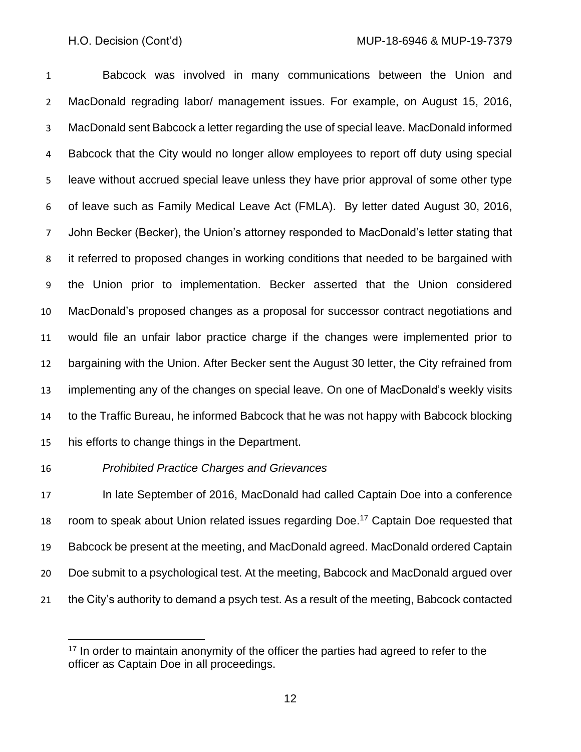Babcock was involved in many communications between the Union and MacDonald regrading labor/ management issues. For example, on August 15, 2016, MacDonald sent Babcock a letter regarding the use of special leave. MacDonald informed Babcock that the City would no longer allow employees to report off duty using special leave without accrued special leave unless they have prior approval of some other type of leave such as Family Medical Leave Act (FMLA). By letter dated August 30, 2016, John Becker (Becker), the Union's attorney responded to MacDonald's letter stating that it referred to proposed changes in working conditions that needed to be bargained with the Union prior to implementation. Becker asserted that the Union considered MacDonald's proposed changes as a proposal for successor contract negotiations and would file an unfair labor practice charge if the changes were implemented prior to bargaining with the Union. After Becker sent the August 30 letter, the City refrained from implementing any of the changes on special leave. On one of MacDonald's weekly visits to the Traffic Bureau, he informed Babcock that he was not happy with Babcock blocking his efforts to change things in the Department.

*Prohibited Practice Charges and Grievances*

 In late September of 2016, MacDonald had called Captain Doe into a conference 18 room to speak about Union related issues regarding Doe.<sup>17</sup> Captain Doe requested that Babcock be present at the meeting, and MacDonald agreed. MacDonald ordered Captain Doe submit to a psychological test. At the meeting, Babcock and MacDonald argued over the City's authority to demand a psych test. As a result of the meeting, Babcock contacted

<sup>&</sup>lt;sup>17</sup> In order to maintain anonymity of the officer the parties had agreed to refer to the officer as Captain Doe in all proceedings.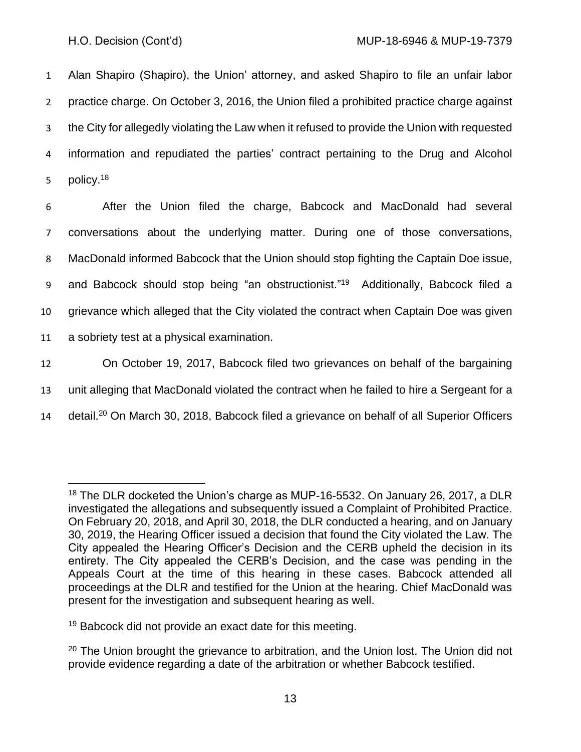Alan Shapiro (Shapiro), the Union' attorney, and asked Shapiro to file an unfair labor practice charge. On October 3, 2016, the Union filed a prohibited practice charge against the City for allegedly violating the Law when it refused to provide the Union with requested information and repudiated the parties' contract pertaining to the Drug and Alcohol 5 policy.<sup>18</sup>

 After the Union filed the charge, Babcock and MacDonald had several conversations about the underlying matter. During one of those conversations, MacDonald informed Babcock that the Union should stop fighting the Captain Doe issue, 9 and Babcock should stop being "an obstructionist."<sup>19</sup> Additionally, Babcock filed a grievance which alleged that the City violated the contract when Captain Doe was given a sobriety test at a physical examination. On October 19, 2017, Babcock filed two grievances on behalf of the bargaining unit alleging that MacDonald violated the contract when he failed to hire a Sergeant for a 14 detail.<sup>20</sup> On March 30, 2018, Babcock filed a grievance on behalf of all Superior Officers

<sup>&</sup>lt;sup>18</sup> The DLR docketed the Union's charge as MUP-16-5532. On January 26, 2017, a DLR investigated the allegations and subsequently issued a Complaint of Prohibited Practice. On February 20, 2018, and April 30, 2018, the DLR conducted a hearing, and on January 30, 2019, the Hearing Officer issued a decision that found the City violated the Law. The City appealed the Hearing Officer's Decision and the CERB upheld the decision in its entirety. The City appealed the CERB's Decision, and the case was pending in the Appeals Court at the time of this hearing in these cases. Babcock attended all proceedings at the DLR and testified for the Union at the hearing. Chief MacDonald was present for the investigation and subsequent hearing as well.

<sup>&</sup>lt;sup>19</sup> Babcock did not provide an exact date for this meeting.

 $20$  The Union brought the grievance to arbitration, and the Union lost. The Union did not provide evidence regarding a date of the arbitration or whether Babcock testified.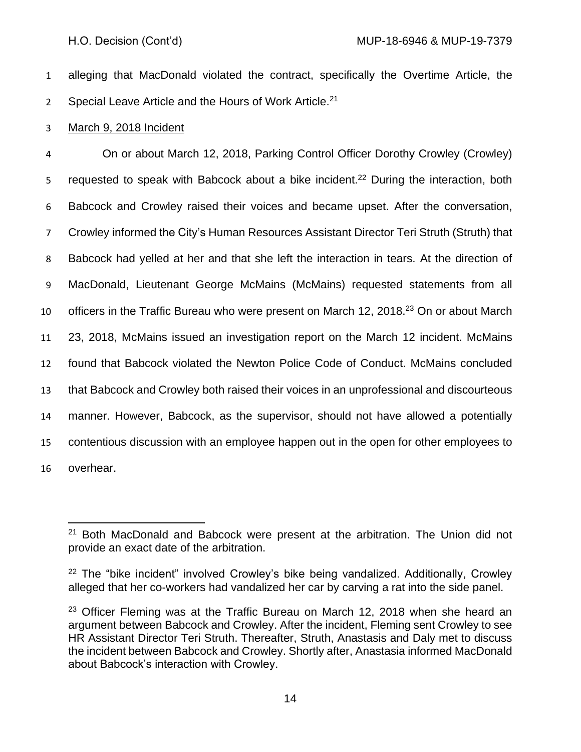1 alleging that MacDonald violated the contract, specifically the Overtime Article, the 2 Special Leave Article and the Hours of Work Article.<sup>21</sup>

## 3 March 9, 2018 Incident

 On or about March 12, 2018, Parking Control Officer Dorothy Crowley (Crowley) 5 requested to speak with Babcock about a bike incident.<sup>22</sup> During the interaction, both Babcock and Crowley raised their voices and became upset. After the conversation, Crowley informed the City's Human Resources Assistant Director Teri Struth (Struth) that Babcock had yelled at her and that she left the interaction in tears. At the direction of MacDonald, Lieutenant George McMains (McMains) requested statements from all 10 officers in the Traffic Bureau who were present on March 12, 2018. $^{23}$  On or about March 23, 2018, McMains issued an investigation report on the March 12 incident. McMains found that Babcock violated the Newton Police Code of Conduct. McMains concluded that Babcock and Crowley both raised their voices in an unprofessional and discourteous manner. However, Babcock, as the supervisor, should not have allowed a potentially contentious discussion with an employee happen out in the open for other employees to overhear.

 $21$  Both MacDonald and Babcock were present at the arbitration. The Union did not provide an exact date of the arbitration.

<sup>&</sup>lt;sup>22</sup> The "bike incident" involved Crowley's bike being vandalized. Additionally, Crowley alleged that her co-workers had vandalized her car by carving a rat into the side panel.

<sup>&</sup>lt;sup>23</sup> Officer Fleming was at the Traffic Bureau on March 12, 2018 when she heard an argument between Babcock and Crowley. After the incident, Fleming sent Crowley to see HR Assistant Director Teri Struth. Thereafter, Struth, Anastasis and Daly met to discuss the incident between Babcock and Crowley. Shortly after, Anastasia informed MacDonald about Babcock's interaction with Crowley.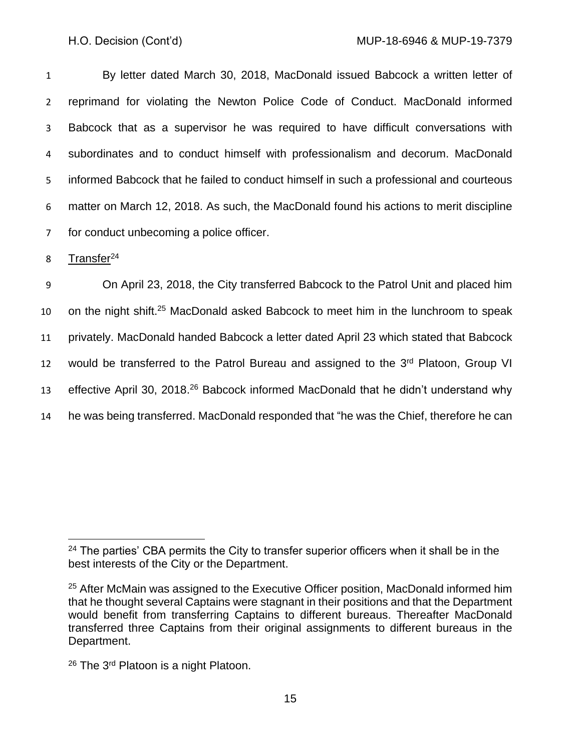By letter dated March 30, 2018, MacDonald issued Babcock a written letter of reprimand for violating the Newton Police Code of Conduct. MacDonald informed Babcock that as a supervisor he was required to have difficult conversations with subordinates and to conduct himself with professionalism and decorum. MacDonald informed Babcock that he failed to conduct himself in such a professional and courteous matter on March 12, 2018. As such, the MacDonald found his actions to merit discipline for conduct unbecoming a police officer.

8 Transfer<sup>24</sup>

9 On April 23, 2018, the City transferred Babcock to the Patrol Unit and placed him 10 on the night shift.<sup>25</sup> MacDonald asked Babcock to meet him in the lunchroom to speak 11 privately. MacDonald handed Babcock a letter dated April 23 which stated that Babcock 12 would be transferred to the Patrol Bureau and assigned to the 3<sup>rd</sup> Platoon, Group VI 13 effective April 30, 2018.<sup>26</sup> Babcock informed MacDonald that he didn't understand why 14 he was being transferred. MacDonald responded that "he was the Chief, therefore he can

<sup>&</sup>lt;sup>24</sup> The parties' CBA permits the City to transfer superior officers when it shall be in the best interests of the City or the Department.

<sup>&</sup>lt;sup>25</sup> After McMain was assigned to the Executive Officer position, MacDonald informed him that he thought several Captains were stagnant in their positions and that the Department would benefit from transferring Captains to different bureaus. Thereafter MacDonald transferred three Captains from their original assignments to different bureaus in the Department.

<sup>&</sup>lt;sup>26</sup> The 3<sup>rd</sup> Platoon is a night Platoon.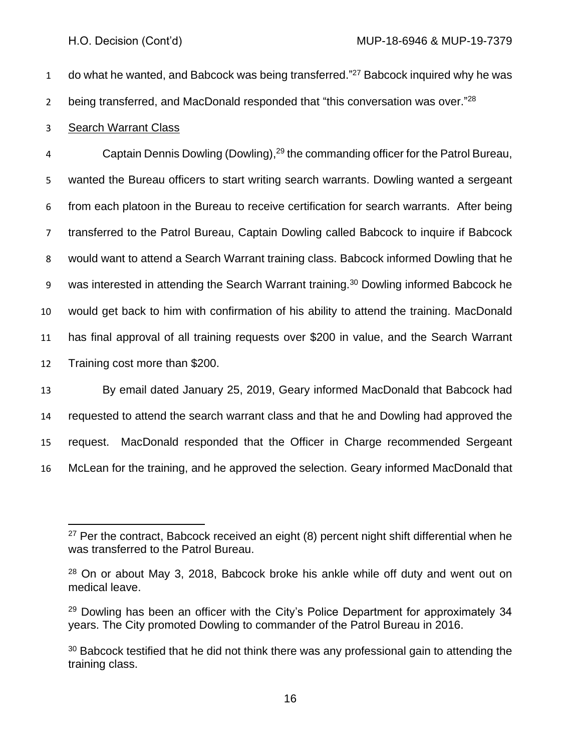1 do what he wanted, and Babcock was being transferred."<sup>27</sup> Babcock inquired why he was

2 being transferred, and MacDonald responded that "this conversation was over."<sup>28</sup>

## Search Warrant Class

4 Captain Dennis Dowling (Dowling),<sup>29</sup> the commanding officer for the Patrol Bureau, wanted the Bureau officers to start writing search warrants. Dowling wanted a sergeant from each platoon in the Bureau to receive certification for search warrants. After being transferred to the Patrol Bureau, Captain Dowling called Babcock to inquire if Babcock would want to attend a Search Warrant training class. Babcock informed Dowling that he 9 was interested in attending the Search Warrant training.<sup>30</sup> Dowling informed Babcock he would get back to him with confirmation of his ability to attend the training. MacDonald has final approval of all training requests over \$200 in value, and the Search Warrant Training cost more than \$200.

 By email dated January 25, 2019, Geary informed MacDonald that Babcock had requested to attend the search warrant class and that he and Dowling had approved the request. MacDonald responded that the Officer in Charge recommended Sergeant McLean for the training, and he approved the selection. Geary informed MacDonald that

 Per the contract, Babcock received an eight (8) percent night shift differential when he was transferred to the Patrol Bureau.

 On or about May 3, 2018, Babcock broke his ankle while off duty and went out on medical leave.

 Dowling has been an officer with the City's Police Department for approximately 34 years. The City promoted Dowling to commander of the Patrol Bureau in 2016.

 Babcock testified that he did not think there was any professional gain to attending the training class.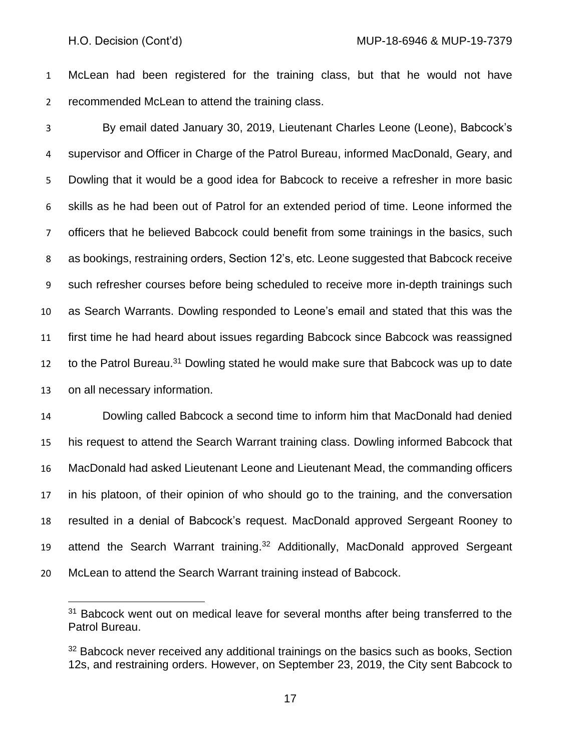McLean had been registered for the training class, but that he would not have recommended McLean to attend the training class.

 By email dated January 30, 2019, Lieutenant Charles Leone (Leone), Babcock's supervisor and Officer in Charge of the Patrol Bureau, informed MacDonald, Geary, and Dowling that it would be a good idea for Babcock to receive a refresher in more basic skills as he had been out of Patrol for an extended period of time. Leone informed the officers that he believed Babcock could benefit from some trainings in the basics, such as bookings, restraining orders, Section 12's, etc. Leone suggested that Babcock receive such refresher courses before being scheduled to receive more in-depth trainings such as Search Warrants. Dowling responded to Leone's email and stated that this was the first time he had heard about issues regarding Babcock since Babcock was reassigned to the Patrol Bureau.<sup>31</sup> Dowling stated he would make sure that Babcock was up to date on all necessary information.

 Dowling called Babcock a second time to inform him that MacDonald had denied his request to attend the Search Warrant training class. Dowling informed Babcock that MacDonald had asked Lieutenant Leone and Lieutenant Mead, the commanding officers in his platoon, of their opinion of who should go to the training, and the conversation resulted in a denial of Babcock's request. MacDonald approved Sergeant Rooney to 19 attend the Search Warrant training.<sup>32</sup> Additionally, MacDonald approved Sergeant McLean to attend the Search Warrant training instead of Babcock.

<sup>&</sup>lt;sup>31</sup> Babcock went out on medical leave for several months after being transferred to the Patrol Bureau.

<sup>&</sup>lt;sup>32</sup> Babcock never received any additional trainings on the basics such as books, Section 12s, and restraining orders. However, on September 23, 2019, the City sent Babcock to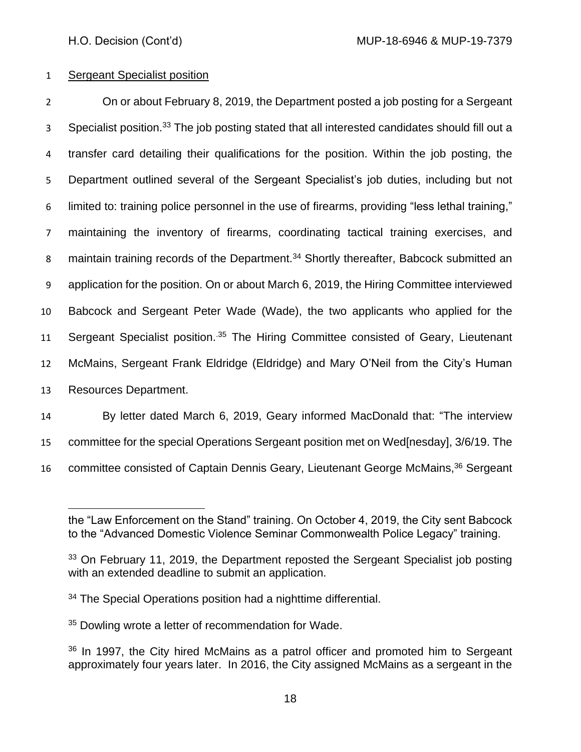## 1 Sergeant Specialist position

 On or about February 8, 2019, the Department posted a job posting for a Sergeant 3 Specialist position.<sup>33</sup> The job posting stated that all interested candidates should fill out a transfer card detailing their qualifications for the position. Within the job posting, the Department outlined several of the Sergeant Specialist's job duties, including but not limited to: training police personnel in the use of firearms, providing "less lethal training," maintaining the inventory of firearms, coordinating tactical training exercises, and 8 maintain training records of the Department.<sup>34</sup> Shortly thereafter, Babcock submitted an application for the position. On or about March 6, 2019, the Hiring Committee interviewed Babcock and Sergeant Peter Wade (Wade), the two applicants who applied for the 11 Sergeant Specialist position.<sup>35</sup> The Hiring Committee consisted of Geary, Lieutenant McMains, Sergeant Frank Eldridge (Eldridge) and Mary O'Neil from the City's Human Resources Department.

14 By letter dated March 6, 2019, Geary informed MacDonald that: "The interview

15 committee for the special Operations Sergeant position met on Wed[nesday], 3/6/19. The

16 committee consisted of Captain Dennis Geary, Lieutenant George McMains,<sup>36</sup> Sergeant

<sup>35</sup> Dowling wrote a letter of recommendation for Wade.

the "Law Enforcement on the Stand" training. On October 4, 2019, the City sent Babcock to the "Advanced Domestic Violence Seminar Commonwealth Police Legacy" training.

<sup>&</sup>lt;sup>33</sup> On February 11, 2019, the Department reposted the Sergeant Specialist job posting with an extended deadline to submit an application.

<sup>&</sup>lt;sup>34</sup> The Special Operations position had a nighttime differential.

 $36$  In 1997, the City hired McMains as a patrol officer and promoted him to Sergeant approximately four years later. In 2016, the City assigned McMains as a sergeant in the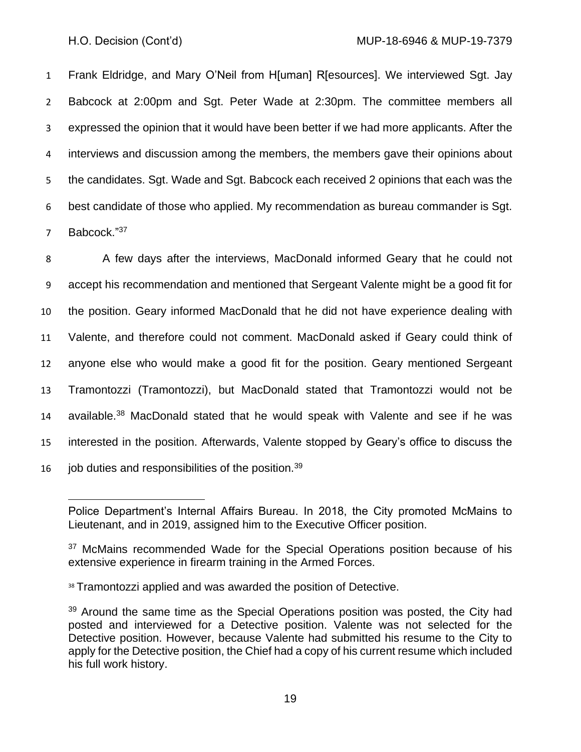Frank Eldridge, and Mary O'Neil from H[uman] R[esources]. We interviewed Sgt. Jay Babcock at 2:00pm and Sgt. Peter Wade at 2:30pm. The committee members all expressed the opinion that it would have been better if we had more applicants. After the interviews and discussion among the members, the members gave their opinions about the candidates. Sgt. Wade and Sgt. Babcock each received 2 opinions that each was the best candidate of those who applied. My recommendation as bureau commander is Sgt. 7 Babcock."37

8 A few days after the interviews, MacDonald informed Geary that he could not accept his recommendation and mentioned that Sergeant Valente might be a good fit for the position. Geary informed MacDonald that he did not have experience dealing with Valente, and therefore could not comment. MacDonald asked if Geary could think of anyone else who would make a good fit for the position. Geary mentioned Sergeant Tramontozzi (Tramontozzi), but MacDonald stated that Tramontozzi would not be 14 available. $38$  MacDonald stated that he would speak with Valente and see if he was interested in the position. Afterwards, Valente stopped by Geary's office to discuss the 16 job duties and responsibilities of the position.  $39$ 

Police Department's Internal Affairs Bureau. In 2018, the City promoted McMains to Lieutenant, and in 2019, assigned him to the Executive Officer position.

<sup>&</sup>lt;sup>37</sup> McMains recommended Wade for the Special Operations position because of his extensive experience in firearm training in the Armed Forces.

<sup>38</sup> Tramontozzi applied and was awarded the position of Detective.

<sup>&</sup>lt;sup>39</sup> Around the same time as the Special Operations position was posted, the City had posted and interviewed for a Detective position. Valente was not selected for the Detective position. However, because Valente had submitted his resume to the City to apply for the Detective position, the Chief had a copy of his current resume which included his full work history.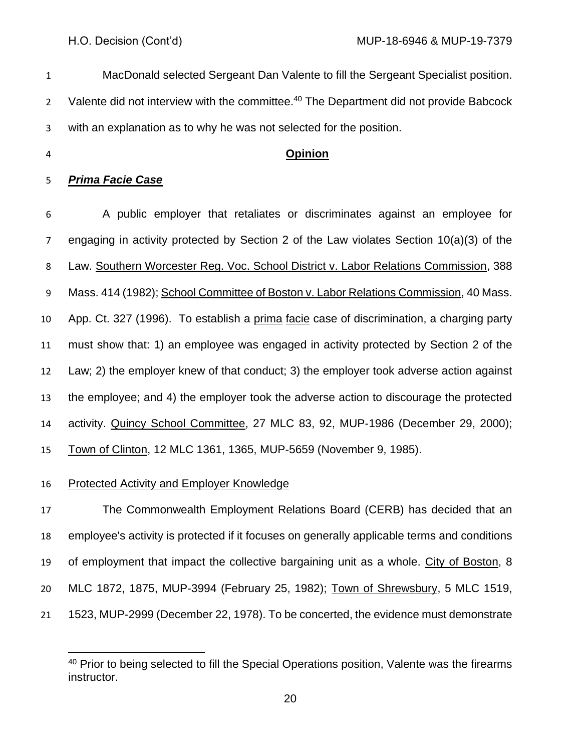MacDonald selected Sergeant Dan Valente to fill the Sergeant Specialist position. 2 Valente did not interview with the committee.<sup>40</sup> The Department did not provide Babcock with an explanation as to why he was not selected for the position. **Opinion** *Prima Facie Case* A public employer that retaliates or discriminates against an employee for engaging in activity protected by Section 2 of the Law violates Section 10(a)(3) of the Law. Southern Worcester Reg. Voc. School District v. Labor Relations Commission, 388

9 Mass. 414 (1982); School Committee of Boston v. Labor Relations Commission, 40 Mass. App. Ct. 327 (1996). To establish a prima facie case of discrimination, a charging party must show that: 1) an employee was engaged in activity protected by Section 2 of the Law; 2) the employer knew of that conduct; 3) the employer took adverse action against the employee; and 4) the employer took the adverse action to discourage the protected activity. Quincy School Committee, 27 MLC 83, 92, MUP-1986 (December 29, 2000); Town of Clinton, 12 MLC 1361, 1365, MUP-5659 (November 9, 1985).

Protected Activity and Employer Knowledge

 The Commonwealth Employment Relations Board (CERB) has decided that an employee's activity is protected if it focuses on generally applicable terms and conditions of employment that impact the collective bargaining unit as a whole. City of Boston, 8 MLC 1872, 1875, MUP-3994 (February 25, 1982); Town of Shrewsbury, 5 MLC 1519, 1523, MUP-2999 (December 22, 1978). To be concerted, the evidence must demonstrate

 Prior to being selected to fill the Special Operations position, Valente was the firearms instructor.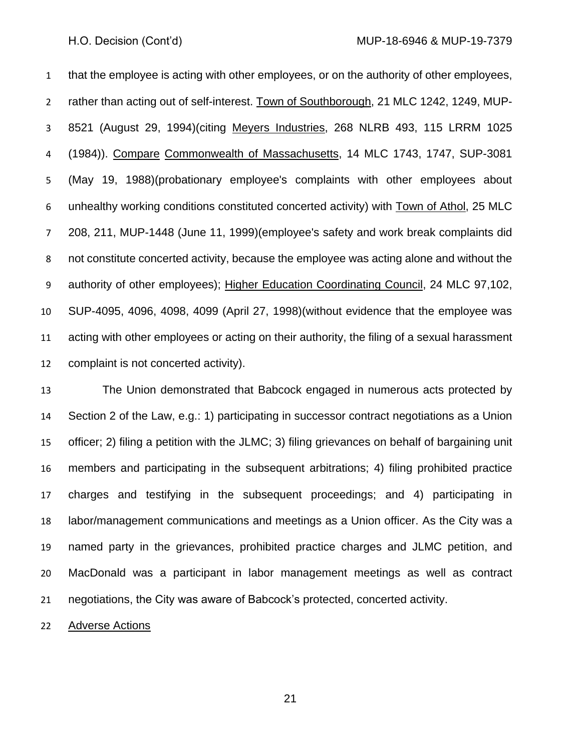H.O. Decision (Cont'd) MUP-18-6946 & MUP-19-7379

 that the employee is acting with other employees, or on the authority of other employees, rather than acting out of self-interest. Town of Southborough, 21 MLC 1242, 1249, MUP- 8521 (August 29, 1994)(citing Meyers Industries, 268 NLRB 493, 115 LRRM 1025 (1984)). Compare Commonwealth of Massachusetts, 14 MLC 1743, 1747, SUP-3081 (May 19, 1988)(probationary employee's complaints with other employees about unhealthy working conditions constituted concerted activity) with Town of Athol, 25 MLC 208, 211, MUP-1448 (June 11, 1999)(employee's safety and work break complaints did not constitute concerted activity, because the employee was acting alone and without the authority of other employees); Higher Education Coordinating Council, 24 MLC 97,102, SUP-4095, 4096, 4098, 4099 (April 27, 1998)(without evidence that the employee was acting with other employees or acting on their authority, the filing of a sexual harassment complaint is not concerted activity).

 The Union demonstrated that Babcock engaged in numerous acts protected by Section 2 of the Law, e.g.: 1) participating in successor contract negotiations as a Union officer; 2) filing a petition with the JLMC; 3) filing grievances on behalf of bargaining unit members and participating in the subsequent arbitrations; 4) filing prohibited practice charges and testifying in the subsequent proceedings; and 4) participating in labor/management communications and meetings as a Union officer. As the City was a named party in the grievances, prohibited practice charges and JLMC petition, and MacDonald was a participant in labor management meetings as well as contract negotiations, the City was aware of Babcock's protected, concerted activity.

22 Adverse Actions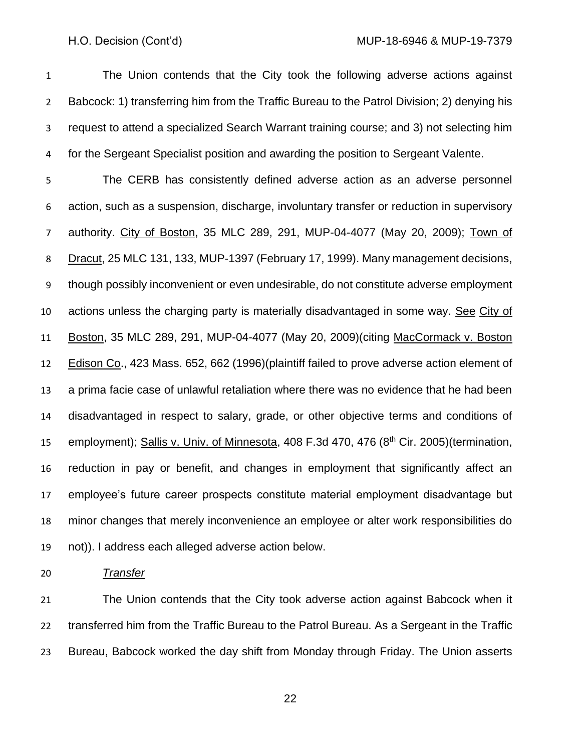The Union contends that the City took the following adverse actions against Babcock: 1) transferring him from the Traffic Bureau to the Patrol Division; 2) denying his request to attend a specialized Search Warrant training course; and 3) not selecting him for the Sergeant Specialist position and awarding the position to Sergeant Valente.

 The CERB has consistently defined adverse action as an adverse personnel action, such as a suspension, discharge, involuntary transfer or reduction in supervisory authority. City of Boston, 35 MLC 289, 291, MUP-04-4077 (May 20, 2009); Town of Dracut, 25 MLC 131, 133, MUP-1397 (February 17, 1999). Many management decisions, though possibly inconvenient or even undesirable, do not constitute adverse employment actions unless the charging party is materially disadvantaged in some way. See City of Boston, 35 MLC 289, 291, MUP-04-4077 (May 20, 2009)(citing MacCormack v. Boston Edison Co., 423 Mass. 652, 662 (1996)(plaintiff failed to prove adverse action element of a prima facie case of unlawful retaliation where there was no evidence that he had been disadvantaged in respect to salary, grade, or other objective terms and conditions of 15 employment); Sallis v. Univ. of Minnesota, 408 F.3d 470, 476 (8<sup>th</sup> Cir. 2005)(termination, reduction in pay or benefit, and changes in employment that significantly affect an employee's future career prospects constitute material employment disadvantage but minor changes that merely inconvenience an employee or alter work responsibilities do not)). I address each alleged adverse action below.

*Transfer*

 The Union contends that the City took adverse action against Babcock when it transferred him from the Traffic Bureau to the Patrol Bureau. As a Sergeant in the Traffic Bureau, Babcock worked the day shift from Monday through Friday. The Union asserts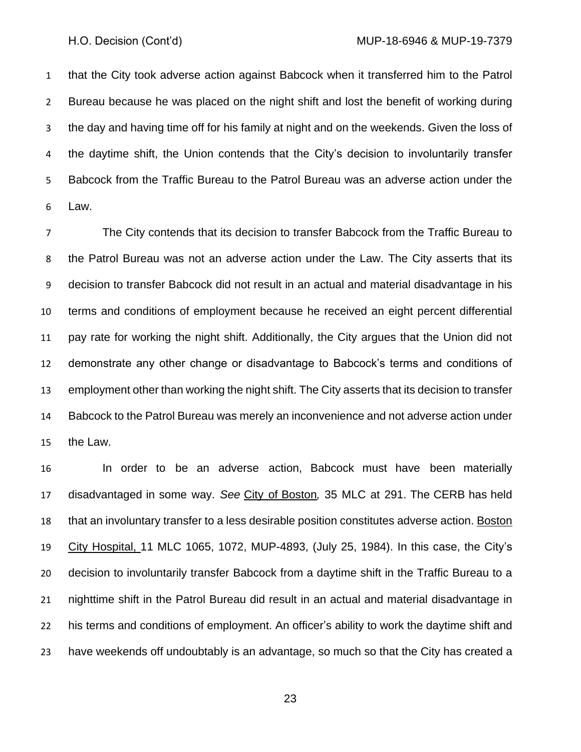that the City took adverse action against Babcock when it transferred him to the Patrol Bureau because he was placed on the night shift and lost the benefit of working during the day and having time off for his family at night and on the weekends. Given the loss of the daytime shift, the Union contends that the City's decision to involuntarily transfer Babcock from the Traffic Bureau to the Patrol Bureau was an adverse action under the Law.

 The City contends that its decision to transfer Babcock from the Traffic Bureau to the Patrol Bureau was not an adverse action under the Law. The City asserts that its decision to transfer Babcock did not result in an actual and material disadvantage in his terms and conditions of employment because he received an eight percent differential pay rate for working the night shift. Additionally, the City argues that the Union did not demonstrate any other change or disadvantage to Babcock's terms and conditions of employment other than working the night shift. The City asserts that its decision to transfer Babcock to the Patrol Bureau was merely an inconvenience and not adverse action under the Law.

 In order to be an adverse action, Babcock must have been materially disadvantaged in some way. *See* City of Boston*,* 35 MLC at 291. The CERB has held that an involuntary transfer to a less desirable position constitutes adverse action. Boston City Hospital, 11 MLC 1065, 1072, MUP-4893, (July 25, 1984). In this case, the City's decision to involuntarily transfer Babcock from a daytime shift in the Traffic Bureau to a nighttime shift in the Patrol Bureau did result in an actual and material disadvantage in his terms and conditions of employment. An officer's ability to work the daytime shift and have weekends off undoubtably is an advantage, so much so that the City has created a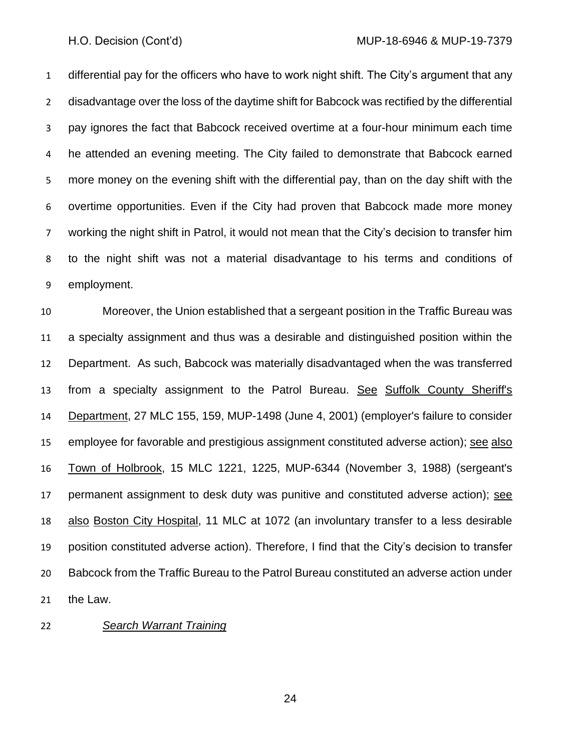differential pay for the officers who have to work night shift. The City's argument that any disadvantage over the loss of the daytime shift for Babcock was rectified by the differential pay ignores the fact that Babcock received overtime at a four-hour minimum each time he attended an evening meeting. The City failed to demonstrate that Babcock earned more money on the evening shift with the differential pay, than on the day shift with the overtime opportunities. Even if the City had proven that Babcock made more money working the night shift in Patrol, it would not mean that the City's decision to transfer him to the night shift was not a material disadvantage to his terms and conditions of employment.

 Moreover, the Union established that a sergeant position in the Traffic Bureau was a specialty assignment and thus was a desirable and distinguished position within the Department. As such, Babcock was materially disadvantaged when the was transferred from a specialty assignment to the Patrol Bureau. See Suffolk County Sheriff's Department, 27 MLC 155, 159, MUP-1498 (June 4, 2001) (employer's failure to consider 15 employee for favorable and prestigious assignment constituted adverse action); see also Town of Holbrook, 15 MLC 1221, 1225, MUP-6344 (November 3, 1988) (sergeant's 17 permanent assignment to desk duty was punitive and constituted adverse action); see also Boston City Hospital, 11 MLC at 1072 (an involuntary transfer to a less desirable position constituted adverse action). Therefore, I find that the City's decision to transfer Babcock from the Traffic Bureau to the Patrol Bureau constituted an adverse action under the Law.

### *Search Warrant Training*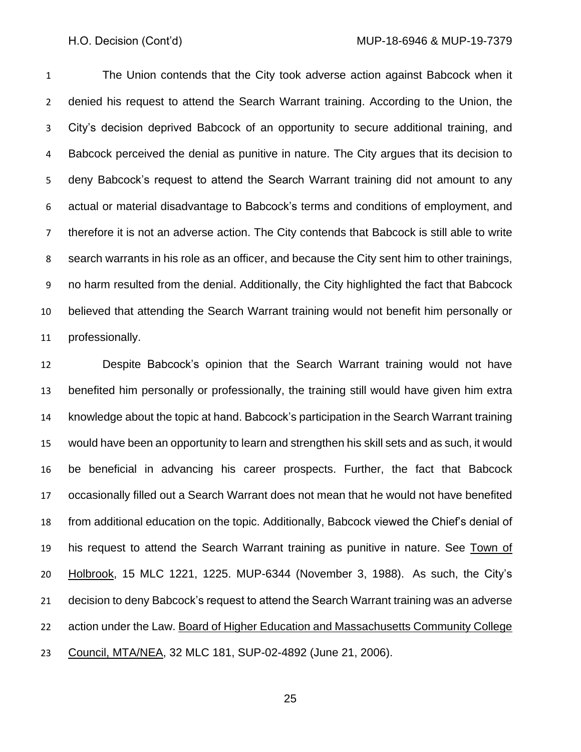The Union contends that the City took adverse action against Babcock when it denied his request to attend the Search Warrant training. According to the Union, the City's decision deprived Babcock of an opportunity to secure additional training, and Babcock perceived the denial as punitive in nature. The City argues that its decision to deny Babcock's request to attend the Search Warrant training did not amount to any actual or material disadvantage to Babcock's terms and conditions of employment, and therefore it is not an adverse action. The City contends that Babcock is still able to write search warrants in his role as an officer, and because the City sent him to other trainings, no harm resulted from the denial. Additionally, the City highlighted the fact that Babcock believed that attending the Search Warrant training would not benefit him personally or professionally.

 Despite Babcock's opinion that the Search Warrant training would not have benefited him personally or professionally, the training still would have given him extra knowledge about the topic at hand. Babcock's participation in the Search Warrant training would have been an opportunity to learn and strengthen his skill sets and as such, it would be beneficial in advancing his career prospects. Further, the fact that Babcock occasionally filled out a Search Warrant does not mean that he would not have benefited from additional education on the topic. Additionally, Babcock viewed the Chief's denial of 19 his request to attend the Search Warrant training as punitive in nature. See Town of **Holbrook**, 15 MLC 1221, 1225. MUP-6344 (November 3, 1988). As such, the City's decision to deny Babcock's request to attend the Search Warrant training was an adverse 22 action under the Law. Board of Higher Education and Massachusetts Community College Council, MTA/NEA, 32 MLC 181, SUP-02-4892 (June 21, 2006).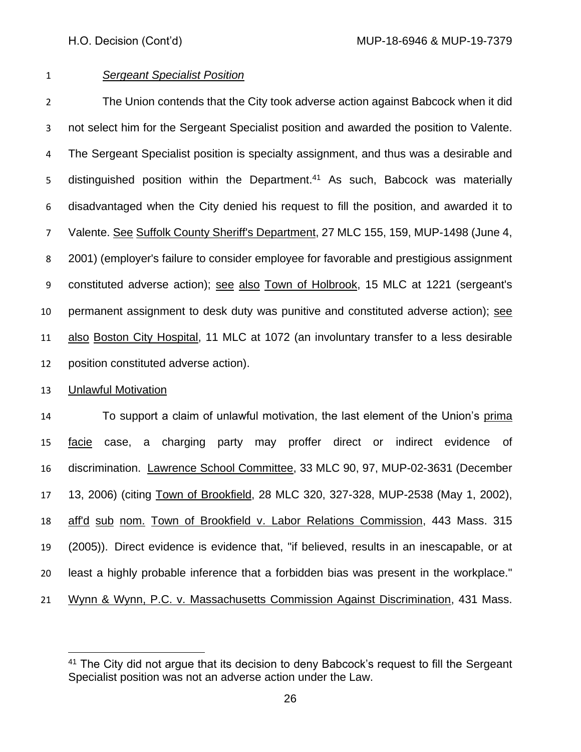## *Sergeant Specialist Position*

 The Union contends that the City took adverse action against Babcock when it did not select him for the Sergeant Specialist position and awarded the position to Valente. The Sergeant Specialist position is specialty assignment, and thus was a desirable and 5 distinguished position within the Department.<sup>41</sup> As such, Babcock was materially disadvantaged when the City denied his request to fill the position, and awarded it to Valente. See Suffolk County Sheriff's Department, 27 MLC 155, 159, MUP-1498 (June 4, 2001) (employer's failure to consider employee for favorable and prestigious assignment constituted adverse action); see also Town of Holbrook, 15 MLC at 1221 (sergeant's permanent assignment to desk duty was punitive and constituted adverse action); see also Boston City Hospital, 11 MLC at 1072 (an involuntary transfer to a less desirable position constituted adverse action).

## Unlawful Motivation

 To support a claim of unlawful motivation, the last element of the Union's prima 15 facie case, a charging party may proffer direct or indirect evidence of discrimination. Lawrence School Committee, 33 MLC 90, 97, MUP-02-3631 (December 13, 2006) (citing Town of Brookfield, 28 MLC 320, 327-328, MUP-2538 (May 1, 2002), aff'd sub nom. Town of Brookfield v. Labor Relations Commission, [443 Mass. 315](http://sll.gvpi.net/document.php?field=jd&value=sjcapp:443_mass._315) (2005)). Direct evidence is evidence that, "if believed, results in an inescapable, or at least a highly probable inference that a forbidden bias was present in the workplace." Wynn & Wynn, P.C. v. Massachusetts Commission Against Discrimination, [431 Mass.](http://sll.gvpi.net/document.php?field=jd&value=sjcapp:431_mass._655) 

<sup>&</sup>lt;sup>41</sup> The City did not argue that its decision to deny Babcock's request to fill the Sergeant Specialist position was not an adverse action under the Law.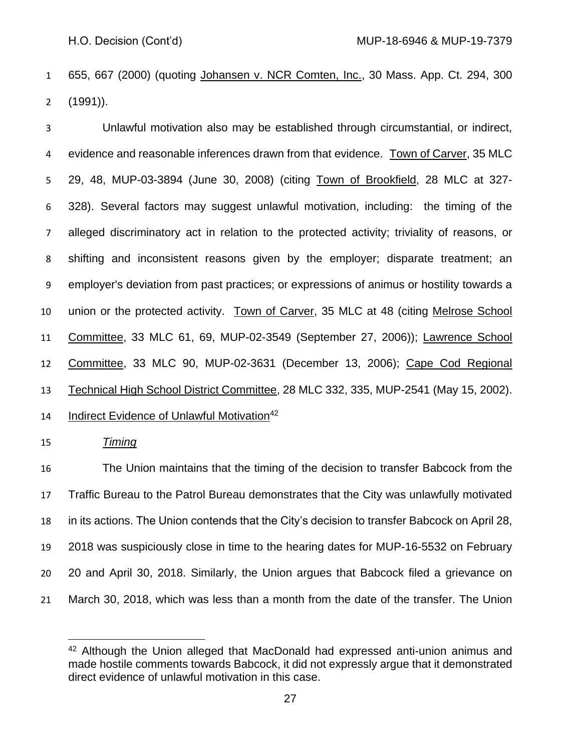[655,](http://sll.gvpi.net/document.php?field=jd&value=sjcapp:431_mass._655) 667 (2000) (quoting Johansen v. NCR Comten, Inc., [30 Mass. App. Ct. 294,](http://sll.gvpi.net/document.php?field=jd&value=sjcapp:30_mass._app._ct._294) 300 (1991)).

 Unlawful motivation also may be established through circumstantial, or indirect, evidence and reasonable inferences drawn from that evidence. Town of Carver, 35 MLC 29, 48, MUP-03-3894 (June 30, 2008) (citing Town of Brookfield, 28 MLC at 327- 328). Several factors may suggest unlawful motivation, including: the timing of the alleged discriminatory act in relation to the protected activity; triviality of reasons, or shifting and inconsistent reasons given by the employer; disparate treatment; an employer's deviation from past practices; or expressions of animus or hostility towards a union or the protected activity. Town of Carver, 35 MLC at 48 (citing Melrose School Committee, 33 MLC 61, 69, MUP-02-3549 (September 27, 2006)); Lawrence School Committee, 33 MLC 90, MUP-02-3631 (December 13, 2006); Cape Cod Regional Technical High School District Committee, 28 MLC 332, 335, MUP-2541 (May 15, 2002). 14 Indirect Evidence of Unlawful Motivation<sup>42</sup>

## *Timing*

 The Union maintains that the timing of the decision to transfer Babcock from the Traffic Bureau to the Patrol Bureau demonstrates that the City was unlawfully motivated in its actions. The Union contends that the City's decision to transfer Babcock on April 28, 2018 was suspiciously close in time to the hearing dates for MUP-16-5532 on February 20 and April 30, 2018. Similarly, the Union argues that Babcock filed a grievance on March 30, 2018, which was less than a month from the date of the transfer. The Union

<sup>&</sup>lt;sup>42</sup> Although the Union alleged that MacDonald had expressed anti-union animus and made hostile comments towards Babcock, it did not expressly argue that it demonstrated direct evidence of unlawful motivation in this case.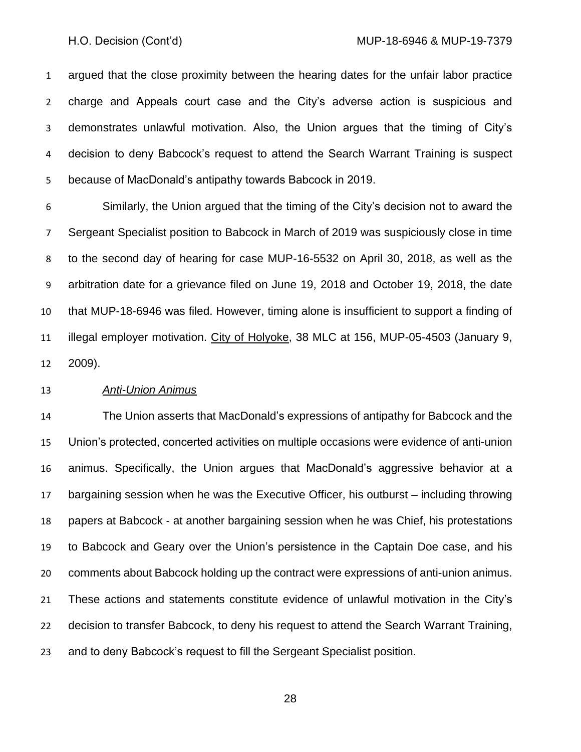argued that the close proximity between the hearing dates for the unfair labor practice charge and Appeals court case and the City's adverse action is suspicious and demonstrates unlawful motivation. Also, the Union argues that the timing of City's decision to deny Babcock's request to attend the Search Warrant Training is suspect because of MacDonald's antipathy towards Babcock in 2019.

 Similarly, the Union argued that the timing of the City's decision not to award the Sergeant Specialist position to Babcock in March of 2019 was suspiciously close in time to the second day of hearing for case MUP-16-5532 on April 30, 2018, as well as the arbitration date for a grievance filed on June 19, 2018 and October 19, 2018, the date that MUP-18-6946 was filed. However, timing alone is insufficient to support a finding of illegal employer motivation. City of Holyoke, 38 MLC at 156, MUP-05-4503 (January 9, 2009).

### *Anti-Union Animus*

 The Union asserts that MacDonald's expressions of antipathy for Babcock and the Union's protected, concerted activities on multiple occasions were evidence of anti-union animus. Specifically, the Union argues that MacDonald's aggressive behavior at a bargaining session when he was the Executive Officer, his outburst – including throwing papers at Babcock - at another bargaining session when he was Chief, his protestations to Babcock and Geary over the Union's persistence in the Captain Doe case, and his comments about Babcock holding up the contract were expressions of anti-union animus. These actions and statements constitute evidence of unlawful motivation in the City's decision to transfer Babcock, to deny his request to attend the Search Warrant Training, and to deny Babcock's request to fill the Sergeant Specialist position.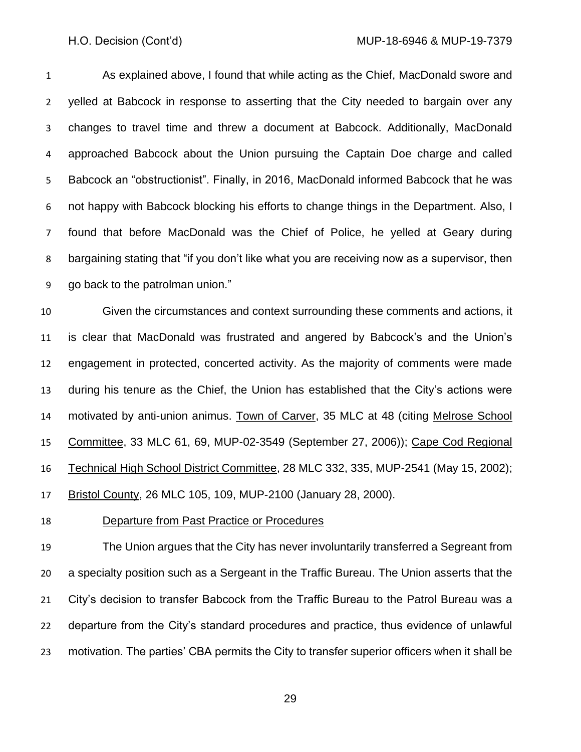As explained above, I found that while acting as the Chief, MacDonald swore and yelled at Babcock in response to asserting that the City needed to bargain over any changes to travel time and threw a document at Babcock. Additionally, MacDonald approached Babcock about the Union pursuing the Captain Doe charge and called Babcock an "obstructionist". Finally, in 2016, MacDonald informed Babcock that he was not happy with Babcock blocking his efforts to change things in the Department. Also, I found that before MacDonald was the Chief of Police, he yelled at Geary during bargaining stating that "if you don't like what you are receiving now as a supervisor, then go back to the patrolman union."

 Given the circumstances and context surrounding these comments and actions, it is clear that MacDonald was frustrated and angered by Babcock's and the Union's engagement in protected, concerted activity. As the majority of comments were made during his tenure as the Chief, the Union has established that the City's actions were motivated by anti-union animus. Town of Carver, 35 MLC at 48 (citing Melrose School Committee, 33 MLC 61, 69, MUP-02-3549 (September 27, 2006)); Cape Cod Regional Technical High School District Committee, 28 MLC 332, 335, MUP-2541 (May 15, 2002); Bristol County, 26 MLC 105, 109, MUP-2100 (January 28, 2000).

Departure from Past Practice or Procedures

 The Union argues that the City has never involuntarily transferred a Segreant from a specialty position such as a Sergeant in the Traffic Bureau. The Union asserts that the City's decision to transfer Babcock from the Traffic Bureau to the Patrol Bureau was a departure from the City's standard procedures and practice, thus evidence of unlawful motivation. The parties' CBA permits the City to transfer superior officers when it shall be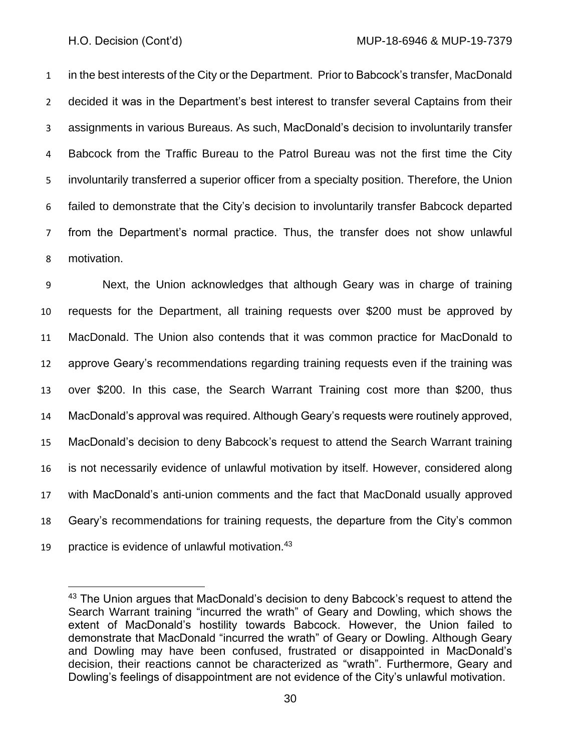in the best interests of the City or the Department. Prior to Babcock's transfer, MacDonald decided it was in the Department's best interest to transfer several Captains from their assignments in various Bureaus. As such, MacDonald's decision to involuntarily transfer Babcock from the Traffic Bureau to the Patrol Bureau was not the first time the City involuntarily transferred a superior officer from a specialty position. Therefore, the Union failed to demonstrate that the City's decision to involuntarily transfer Babcock departed from the Department's normal practice. Thus, the transfer does not show unlawful motivation.

 Next, the Union acknowledges that although Geary was in charge of training requests for the Department, all training requests over \$200 must be approved by MacDonald. The Union also contends that it was common practice for MacDonald to approve Geary's recommendations regarding training requests even if the training was over \$200. In this case, the Search Warrant Training cost more than \$200, thus MacDonald's approval was required. Although Geary's requests were routinely approved, MacDonald's decision to deny Babcock's request to attend the Search Warrant training is not necessarily evidence of unlawful motivation by itself. However, considered along with MacDonald's anti-union comments and the fact that MacDonald usually approved Geary's recommendations for training requests, the departure from the City's common 19 practice is evidence of unlawful motivation.

<sup>&</sup>lt;sup>43</sup> The Union argues that MacDonald's decision to deny Babcock's request to attend the Search Warrant training "incurred the wrath" of Geary and Dowling, which shows the extent of MacDonald's hostility towards Babcock. However, the Union failed to demonstrate that MacDonald "incurred the wrath" of Geary or Dowling. Although Geary and Dowling may have been confused, frustrated or disappointed in MacDonald's decision, their reactions cannot be characterized as "wrath". Furthermore, Geary and Dowling's feelings of disappointment are not evidence of the City's unlawful motivation.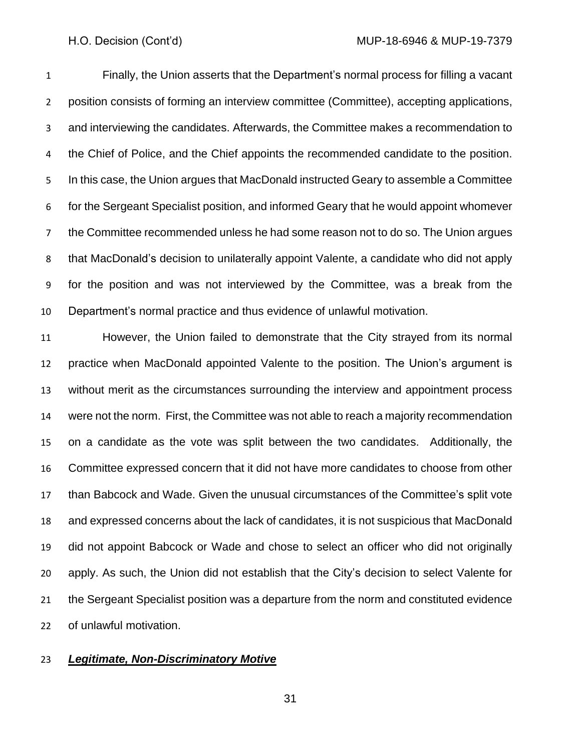Finally, the Union asserts that the Department's normal process for filling a vacant position consists of forming an interview committee (Committee), accepting applications, and interviewing the candidates. Afterwards, the Committee makes a recommendation to the Chief of Police, and the Chief appoints the recommended candidate to the position. In this case, the Union argues that MacDonald instructed Geary to assemble a Committee for the Sergeant Specialist position, and informed Geary that he would appoint whomever the Committee recommended unless he had some reason not to do so. The Union argues that MacDonald's decision to unilaterally appoint Valente, a candidate who did not apply for the position and was not interviewed by the Committee, was a break from the Department's normal practice and thus evidence of unlawful motivation.

 However, the Union failed to demonstrate that the City strayed from its normal practice when MacDonald appointed Valente to the position. The Union's argument is without merit as the circumstances surrounding the interview and appointment process were not the norm. First, the Committee was not able to reach a majority recommendation on a candidate as the vote was split between the two candidates. Additionally, the Committee expressed concern that it did not have more candidates to choose from other than Babcock and Wade. Given the unusual circumstances of the Committee's split vote and expressed concerns about the lack of candidates, it is not suspicious that MacDonald did not appoint Babcock or Wade and chose to select an officer who did not originally apply. As such, the Union did not establish that the City's decision to select Valente for the Sergeant Specialist position was a departure from the norm and constituted evidence of unlawful motivation.

### *Legitimate, Non-Discriminatory Motive*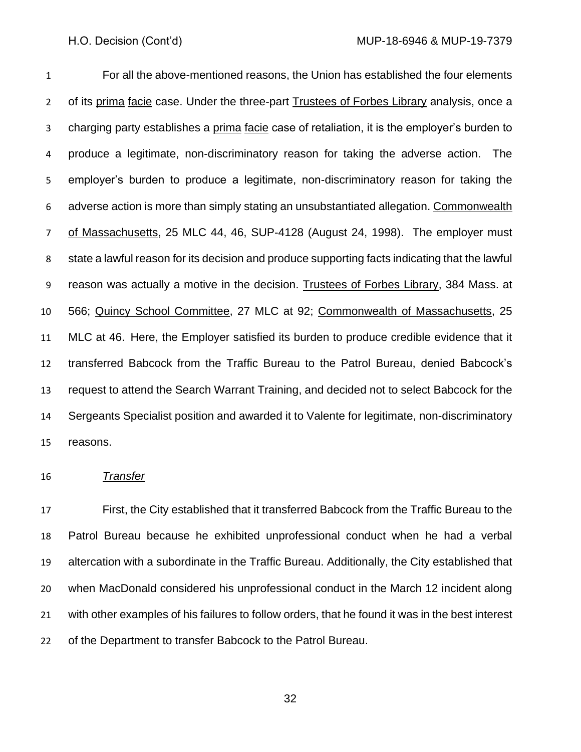For all the above-mentioned reasons, the Union has established the four elements of its prima facie case. Under the three-part Trustees of Forbes Library analysis, once a charging party establishes a prima facie case of retaliation, it is the employer's burden to produce a legitimate, non-discriminatory reason for taking the adverse action. The employer's burden to produce a legitimate, non-discriminatory reason for taking the 6 adverse action is more than simply stating an unsubstantiated allegation. Commonwealth 7 of Massachusetts, 25 MLC 44, 46, SUP-4128 (August 24, 1998). The employer must state a lawful reason for its decision and produce supporting facts indicating that the lawful 9 reason was actually a motive in the decision. Trustees of Forbes Library, 384 Mass. at 566; Quincy School Committee, 27 MLC at 92; Commonwealth of Massachusetts, 25 MLC at 46. Here, the Employer satisfied its burden to produce credible evidence that it transferred Babcock from the Traffic Bureau to the Patrol Bureau, denied Babcock's request to attend the Search Warrant Training, and decided not to select Babcock for the Sergeants Specialist position and awarded it to Valente for legitimate, non-discriminatory reasons.

### *Transfer*

 First, the City established that it transferred Babcock from the Traffic Bureau to the Patrol Bureau because he exhibited unprofessional conduct when he had a verbal altercation with a subordinate in the Traffic Bureau. Additionally, the City established that when MacDonald considered his unprofessional conduct in the March 12 incident along with other examples of his failures to follow orders, that he found it was in the best interest of the Department to transfer Babcock to the Patrol Bureau.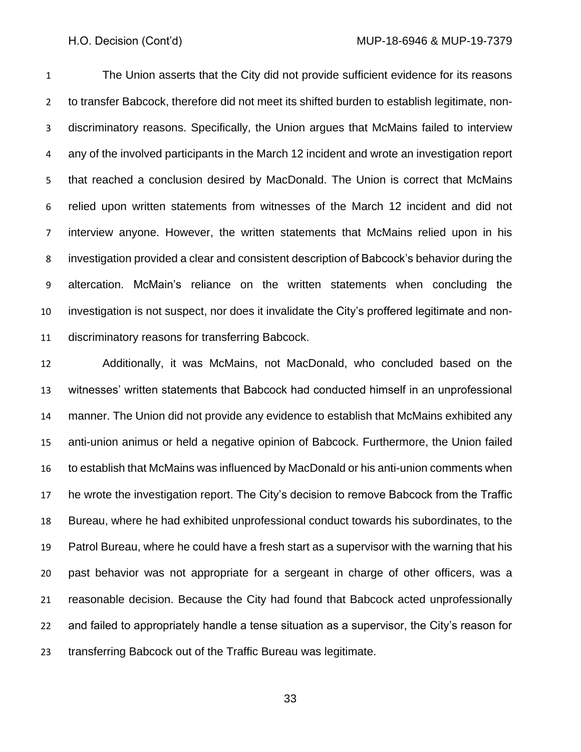The Union asserts that the City did not provide sufficient evidence for its reasons to transfer Babcock, therefore did not meet its shifted burden to establish legitimate, non- discriminatory reasons. Specifically, the Union argues that McMains failed to interview any of the involved participants in the March 12 incident and wrote an investigation report that reached a conclusion desired by MacDonald. The Union is correct that McMains relied upon written statements from witnesses of the March 12 incident and did not interview anyone. However, the written statements that McMains relied upon in his investigation provided a clear and consistent description of Babcock's behavior during the altercation. McMain's reliance on the written statements when concluding the investigation is not suspect, nor does it invalidate the City's proffered legitimate and non-discriminatory reasons for transferring Babcock.

 Additionally, it was McMains, not MacDonald, who concluded based on the witnesses' written statements that Babcock had conducted himself in an unprofessional manner. The Union did not provide any evidence to establish that McMains exhibited any anti-union animus or held a negative opinion of Babcock. Furthermore, the Union failed to establish that McMains was influenced by MacDonald or his anti-union comments when he wrote the investigation report. The City's decision to remove Babcock from the Traffic Bureau, where he had exhibited unprofessional conduct towards his subordinates, to the Patrol Bureau, where he could have a fresh start as a supervisor with the warning that his past behavior was not appropriate for a sergeant in charge of other officers, was a reasonable decision. Because the City had found that Babcock acted unprofessionally and failed to appropriately handle a tense situation as a supervisor, the City's reason for transferring Babcock out of the Traffic Bureau was legitimate.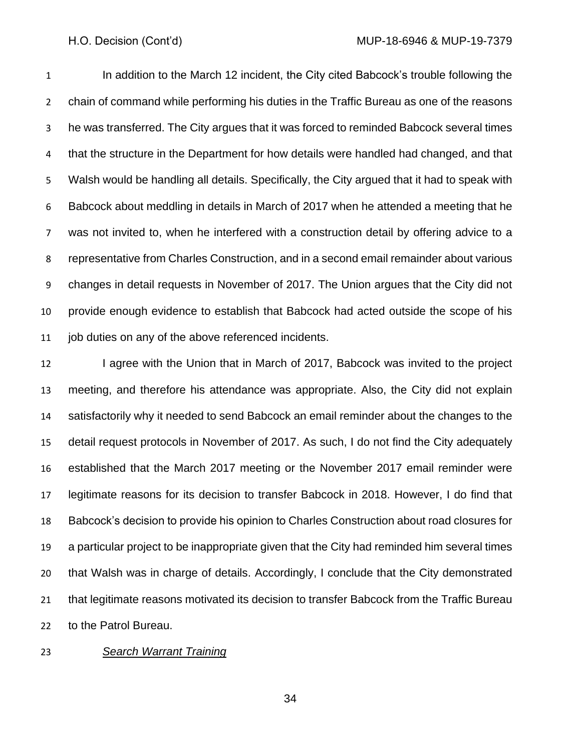In addition to the March 12 incident, the City cited Babcock's trouble following the chain of command while performing his duties in the Traffic Bureau as one of the reasons he was transferred. The City argues that it was forced to reminded Babcock several times that the structure in the Department for how details were handled had changed, and that Walsh would be handling all details. Specifically, the City argued that it had to speak with Babcock about meddling in details in March of 2017 when he attended a meeting that he was not invited to, when he interfered with a construction detail by offering advice to a representative from Charles Construction, and in a second email remainder about various changes in detail requests in November of 2017. The Union argues that the City did not provide enough evidence to establish that Babcock had acted outside the scope of his job duties on any of the above referenced incidents.

12 I agree with the Union that in March of 2017, Babcock was invited to the project meeting, and therefore his attendance was appropriate. Also, the City did not explain satisfactorily why it needed to send Babcock an email reminder about the changes to the detail request protocols in November of 2017. As such, I do not find the City adequately established that the March 2017 meeting or the November 2017 email reminder were legitimate reasons for its decision to transfer Babcock in 2018. However, I do find that Babcock's decision to provide his opinion to Charles Construction about road closures for a particular project to be inappropriate given that the City had reminded him several times that Walsh was in charge of details. Accordingly, I conclude that the City demonstrated that legitimate reasons motivated its decision to transfer Babcock from the Traffic Bureau to the Patrol Bureau.

### *Search Warrant Training*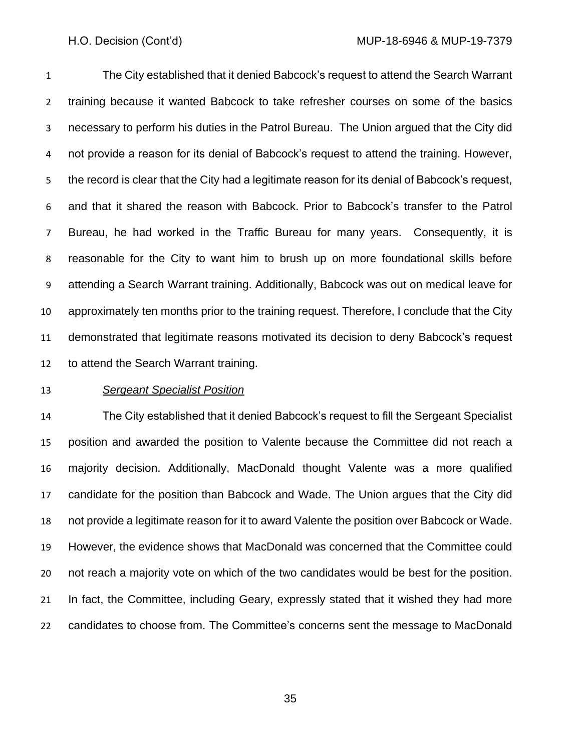The City established that it denied Babcock's request to attend the Search Warrant training because it wanted Babcock to take refresher courses on some of the basics necessary to perform his duties in the Patrol Bureau. The Union argued that the City did not provide a reason for its denial of Babcock's request to attend the training. However, the record is clear that the City had a legitimate reason for its denial of Babcock's request, and that it shared the reason with Babcock. Prior to Babcock's transfer to the Patrol Bureau, he had worked in the Traffic Bureau for many years. Consequently, it is reasonable for the City to want him to brush up on more foundational skills before attending a Search Warrant training. Additionally, Babcock was out on medical leave for approximately ten months prior to the training request. Therefore, I conclude that the City demonstrated that legitimate reasons motivated its decision to deny Babcock's request to attend the Search Warrant training.

### *Sergeant Specialist Position*

 The City established that it denied Babcock's request to fill the Sergeant Specialist position and awarded the position to Valente because the Committee did not reach a majority decision. Additionally, MacDonald thought Valente was a more qualified candidate for the position than Babcock and Wade. The Union argues that the City did not provide a legitimate reason for it to award Valente the position over Babcock or Wade. However, the evidence shows that MacDonald was concerned that the Committee could not reach a majority vote on which of the two candidates would be best for the position. In fact, the Committee, including Geary, expressly stated that it wished they had more candidates to choose from. The Committee's concerns sent the message to MacDonald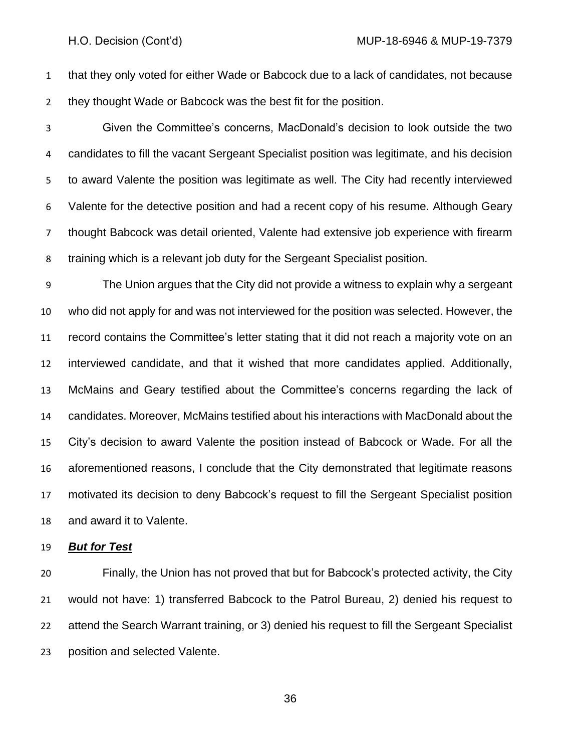that they only voted for either Wade or Babcock due to a lack of candidates, not because they thought Wade or Babcock was the best fit for the position.

 Given the Committee's concerns, MacDonald's decision to look outside the two candidates to fill the vacant Sergeant Specialist position was legitimate, and his decision to award Valente the position was legitimate as well. The City had recently interviewed Valente for the detective position and had a recent copy of his resume. Although Geary thought Babcock was detail oriented, Valente had extensive job experience with firearm training which is a relevant job duty for the Sergeant Specialist position.

 The Union argues that the City did not provide a witness to explain why a sergeant who did not apply for and was not interviewed for the position was selected. However, the record contains the Committee's letter stating that it did not reach a majority vote on an interviewed candidate, and that it wished that more candidates applied. Additionally, McMains and Geary testified about the Committee's concerns regarding the lack of candidates. Moreover, McMains testified about his interactions with MacDonald about the City's decision to award Valente the position instead of Babcock or Wade. For all the aforementioned reasons, I conclude that the City demonstrated that legitimate reasons motivated its decision to deny Babcock's request to fill the Sergeant Specialist position and award it to Valente.

### *But for Test*

 Finally, the Union has not proved that but for Babcock's protected activity, the City would not have: 1) transferred Babcock to the Patrol Bureau, 2) denied his request to attend the Search Warrant training, or 3) denied his request to fill the Sergeant Specialist position and selected Valente.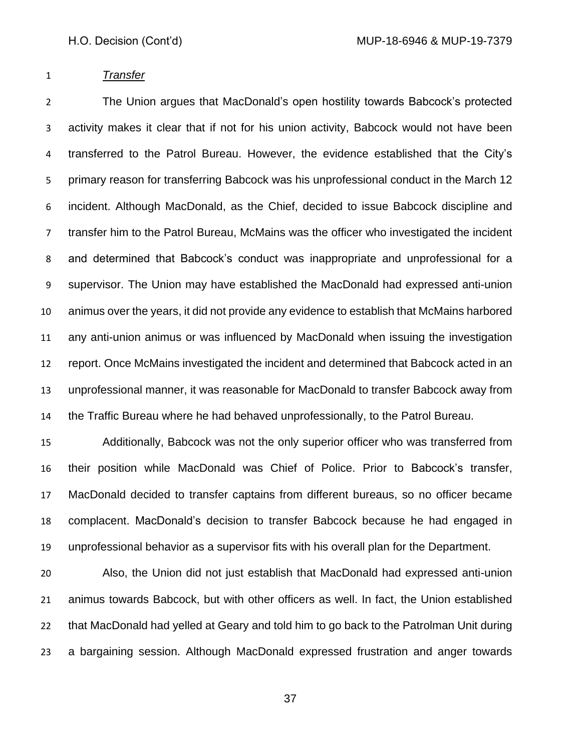### *Transfer*

 The Union argues that MacDonald's open hostility towards Babcock's protected activity makes it clear that if not for his union activity, Babcock would not have been transferred to the Patrol Bureau. However, the evidence established that the City's primary reason for transferring Babcock was his unprofessional conduct in the March 12 incident. Although MacDonald, as the Chief, decided to issue Babcock discipline and transfer him to the Patrol Bureau, McMains was the officer who investigated the incident and determined that Babcock's conduct was inappropriate and unprofessional for a supervisor. The Union may have established the MacDonald had expressed anti-union animus over the years, it did not provide any evidence to establish that McMains harbored any anti-union animus or was influenced by MacDonald when issuing the investigation report. Once McMains investigated the incident and determined that Babcock acted in an unprofessional manner, it was reasonable for MacDonald to transfer Babcock away from the Traffic Bureau where he had behaved unprofessionally, to the Patrol Bureau.

 Additionally, Babcock was not the only superior officer who was transferred from their position while MacDonald was Chief of Police. Prior to Babcock's transfer, MacDonald decided to transfer captains from different bureaus, so no officer became complacent. MacDonald's decision to transfer Babcock because he had engaged in unprofessional behavior as a supervisor fits with his overall plan for the Department.

 Also, the Union did not just establish that MacDonald had expressed anti-union animus towards Babcock, but with other officers as well. In fact, the Union established that MacDonald had yelled at Geary and told him to go back to the Patrolman Unit during a bargaining session. Although MacDonald expressed frustration and anger towards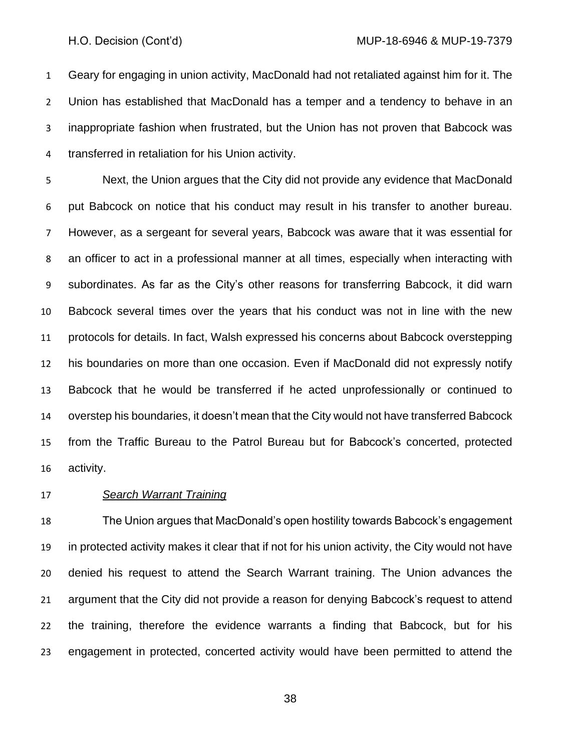Geary for engaging in union activity, MacDonald had not retaliated against him for it. The Union has established that MacDonald has a temper and a tendency to behave in an inappropriate fashion when frustrated, but the Union has not proven that Babcock was transferred in retaliation for his Union activity.

 Next, the Union argues that the City did not provide any evidence that MacDonald put Babcock on notice that his conduct may result in his transfer to another bureau. However, as a sergeant for several years, Babcock was aware that it was essential for an officer to act in a professional manner at all times, especially when interacting with subordinates. As far as the City's other reasons for transferring Babcock, it did warn Babcock several times over the years that his conduct was not in line with the new protocols for details. In fact, Walsh expressed his concerns about Babcock overstepping his boundaries on more than one occasion. Even if MacDonald did not expressly notify Babcock that he would be transferred if he acted unprofessionally or continued to overstep his boundaries, it doesn't mean that the City would not have transferred Babcock from the Traffic Bureau to the Patrol Bureau but for Babcock's concerted, protected activity.

### *Search Warrant Training*

 The Union argues that MacDonald's open hostility towards Babcock's engagement in protected activity makes it clear that if not for his union activity, the City would not have denied his request to attend the Search Warrant training. The Union advances the argument that the City did not provide a reason for denying Babcock's request to attend the training, therefore the evidence warrants a finding that Babcock, but for his engagement in protected, concerted activity would have been permitted to attend the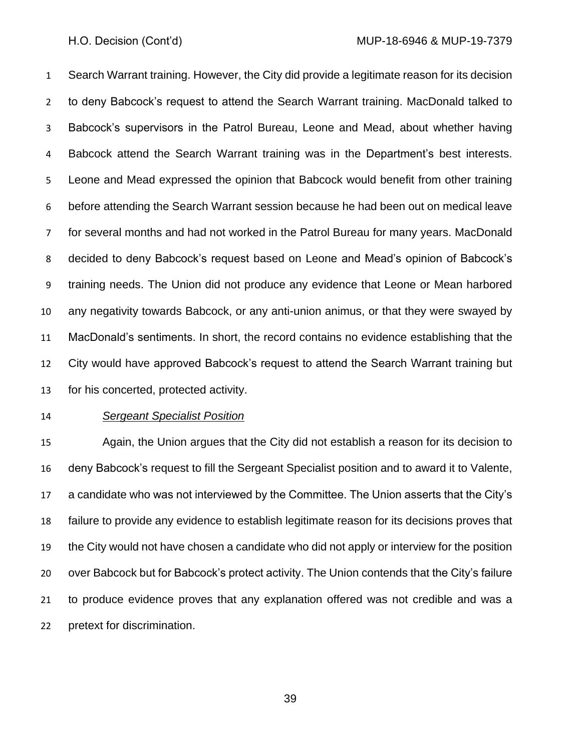Search Warrant training. However, the City did provide a legitimate reason for its decision to deny Babcock's request to attend the Search Warrant training. MacDonald talked to Babcock's supervisors in the Patrol Bureau, Leone and Mead, about whether having Babcock attend the Search Warrant training was in the Department's best interests. Leone and Mead expressed the opinion that Babcock would benefit from other training before attending the Search Warrant session because he had been out on medical leave for several months and had not worked in the Patrol Bureau for many years. MacDonald decided to deny Babcock's request based on Leone and Mead's opinion of Babcock's training needs. The Union did not produce any evidence that Leone or Mean harbored any negativity towards Babcock, or any anti-union animus, or that they were swayed by MacDonald's sentiments. In short, the record contains no evidence establishing that the City would have approved Babcock's request to attend the Search Warrant training but for his concerted, protected activity.

### *Sergeant Specialist Position*

 Again, the Union argues that the City did not establish a reason for its decision to deny Babcock's request to fill the Sergeant Specialist position and to award it to Valente, a candidate who was not interviewed by the Committee. The Union asserts that the City's failure to provide any evidence to establish legitimate reason for its decisions proves that the City would not have chosen a candidate who did not apply or interview for the position over Babcock but for Babcock's protect activity. The Union contends that the City's failure to produce evidence proves that any explanation offered was not credible and was a pretext for discrimination.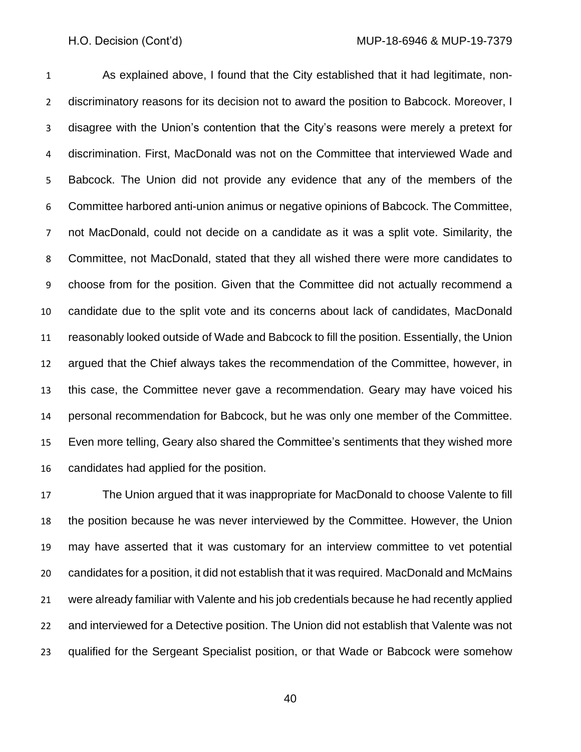As explained above, I found that the City established that it had legitimate, non- discriminatory reasons for its decision not to award the position to Babcock. Moreover, I disagree with the Union's contention that the City's reasons were merely a pretext for discrimination. First, MacDonald was not on the Committee that interviewed Wade and Babcock. The Union did not provide any evidence that any of the members of the Committee harbored anti-union animus or negative opinions of Babcock. The Committee, not MacDonald, could not decide on a candidate as it was a split vote. Similarity, the Committee, not MacDonald, stated that they all wished there were more candidates to choose from for the position. Given that the Committee did not actually recommend a candidate due to the split vote and its concerns about lack of candidates, MacDonald reasonably looked outside of Wade and Babcock to fill the position. Essentially, the Union argued that the Chief always takes the recommendation of the Committee, however, in this case, the Committee never gave a recommendation. Geary may have voiced his personal recommendation for Babcock, but he was only one member of the Committee. Even more telling, Geary also shared the Committee's sentiments that they wished more candidates had applied for the position.

 The Union argued that it was inappropriate for MacDonald to choose Valente to fill the position because he was never interviewed by the Committee. However, the Union may have asserted that it was customary for an interview committee to vet potential candidates for a position, it did not establish that it was required. MacDonald and McMains were already familiar with Valente and his job credentials because he had recently applied and interviewed for a Detective position. The Union did not establish that Valente was not qualified for the Sergeant Specialist position, or that Wade or Babcock were somehow